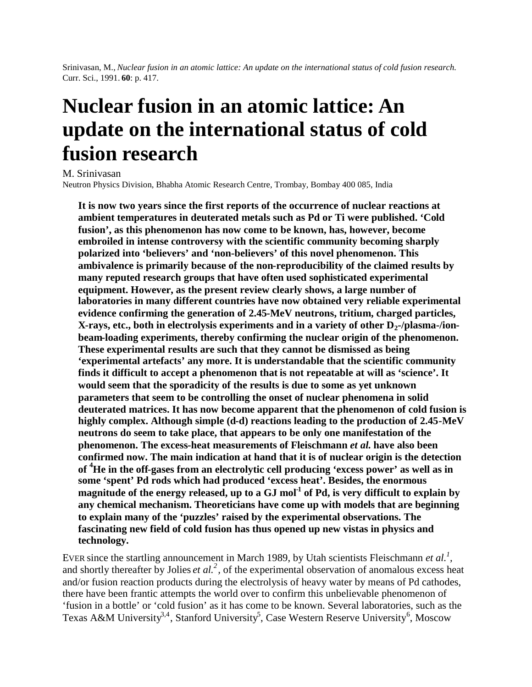Srinivasan, M., *Nuclear fusion in an atomic lattice: An update on the international status of cold fusion research.* Curr. Sci., 1991. **60**: p. 417.

# **Nuclear fusion in an atomic lattice: An update on the international status of cold fusion research**

M. Srinivasan

Neutron Physics Division, Bhabha Atomic Research Centre, Trombay, Bombay 400 085, India

**It is now two years since the first reports of the occurrence of nuclear reactions at ambient temperatures in deuterated metals such as Pd or Ti were published. 'Cold fusion', as this phenomenon has now come to be known, has, however, become embroiled in intense controversy with the scientific community becoming sharply polarized into 'believers' and 'non-believers' of this novel phenomenon. This ambivalence is primarily because of the non-reproducibility of the claimed results by many reputed research groups that have often used sophisticated experimental equipment. However, as the present review clearly shows, a large number of laboratories in many different countries have now obtained very reliable experimental evidence confirming the generation of 2.45-MeV neutrons, tritium, charged particles, X-rays, etc., both in electrolysis experiments and in a variety of other D2-/plasma-/ionbeam-loading experiments, thereby confirming the nuclear origin of the phenomenon. These experimental results are such that they cannot be dismissed as being 'experimental artefacts' any more. It is understandable that the scientific community finds it difficult to accept a phenomenon that is not repeatable at will as 'science'. It would seem that the sporadicity of the results is due to some as yet unknown parameters that seem to be controlling the onset of nuclear phenomena in solid deuterated matrices. It has now become apparent that the phenomenon of cold fusion is highly complex. Although simple (d-d) reactions leading to the production of 2.45-MeV neutrons do seem to take place, that appears to be only one manifestation of the phenomenon. The excess-heat measurements of Fleischmann** *et al.* **have also been confirmed now. The main indication at hand that it is of nuclear origin is the detection of <sup>4</sup>He in the off-gases from an electrolytic cell producing 'excess power' as well as in some 'spent' Pd rods which had produced 'excess heat'. Besides, the enormous magnitude of the energy released, up to a GJ mol-1 of Pd, is very difficult to explain by any chemical mechanism. Theoreticians have come up with models that are beginning to explain many of the 'puzzles' raised by the experimental observations. The fascinating new field of cold fusion has thus opened up new vistas in physics and technology.**

EVER since the startling announcement in March 1989, by Utah scientists Fleischmann *et al.<sup>1</sup> ,* and shortly thereafter by Jolies *et al.*<sup>2</sup>, of the experimental observation of anomalous excess heat and/or fusion reaction products during the electrolysis of heavy water by means of Pd cathodes, there have been frantic attempts the world over to confirm this unbelievable phenomenon of 'fusion in a bottle' or 'cold fusion' as it has come to be known. Several laboratories, such as the Texas A&M University<sup>3,4</sup>, Stanford University<sup>5</sup>, Case Western Reserve University<sup>6</sup>, Moscow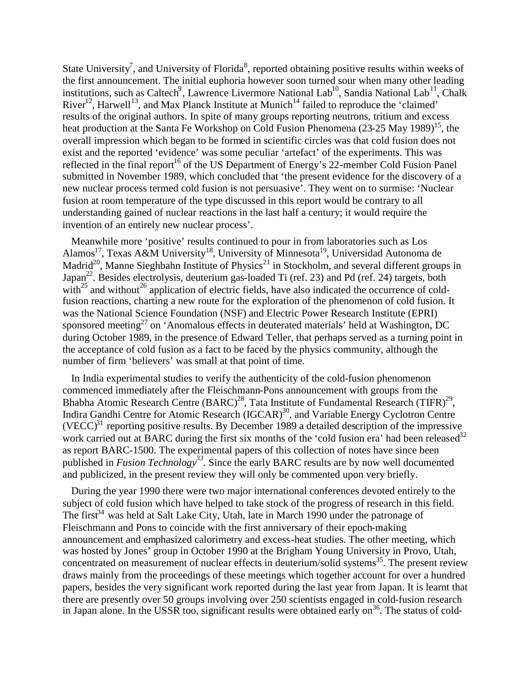State University<sup>7</sup>, and University of Florida<sup>8</sup>, reported obtaining positive results within weeks of the first announcement. The initial euphoria however soon turned sour when many other leading institutions, such as Caltech<sup>9</sup>, Lawrence Livermore National Lab<sup>10</sup>, Sandia National Lab<sup>11</sup>, Chalk River<sup>12</sup>, Harwell<sup>13</sup>, and Max Planck Institute at Munich<sup>14</sup> failed to reproduce the 'claimed' results of the original authors. In spite of many groups reporting neutrons, tritium and excess heat production at the Santa Fe Workshop on Cold Fusion Phenomena (23-25 May 1989)<sup>15</sup>, the overall impression which began to be formed in scientific circles was that cold fusion does not exist and the reported 'evidence' was some peculiar 'artefact' of the experiments. This was reflected in the final report<sup>16</sup> of the US Department of Energy's 22-member Cold Fusion Panel submitted in November 1989, which concluded that 'the present evidence for the discovery of a new nuclear process termed cold fusion is not persuasive'. They went on to surmise: 'Nuclear fusion at room temperature of the type discussed in this report would be contrary to all understanding gained of nuclear reactions in the last half a century; it would require the invention of an entirely new nuclear process'.

Meanwhile more 'positive' results continued to pour in from laboratories such as Los Alamos<sup>17</sup>, Texas A&M University<sup>18</sup>, University of Minnesota<sup>19</sup>, Universidad Autonoma de Madrid<sup>20</sup>, Manne Sieghbahn Institute of Physics<sup>21</sup> in Stockholm, and several different groups in Japan<sup>22</sup>. Besides electrolysis, deuterium gas-loaded Ti (ref. 23) and Pd (ref. 24) targets, both with<sup>25</sup> and without<sup>26</sup> application of electric fields, have also indicated the occurrence of coldfusion reactions, charting a new route for the exploration of the phenomenon of cold fusion. It was the National Science Foundation (NSF) and Electric Power Research Institute (EPRI) sponsored meeting<sup>27</sup> on 'Anomalous effects in deuterated materials' held at Washington, DC during October 1989, in the presence of Edward Teller, that perhaps served as a turning point in the acceptance of cold fusion as a fact to be faced by the physics community, although the number of firm 'believers' was small at that point of time.

In India experimental studies to verify the authenticity of the cold-fusion phenomenon commenced immediately after the Fleischmann-Pons announcement with groups from the Bhabha Atomic Research Centre  $(BARC)^{28}$ , Tata Institute of Fundamental Research (TIFR)<sup>29</sup>, Indira Gandhi Centre for Atomic Research (IGCAR)<sup>30</sup>, and Variable Energy Cyclotron Centre  $(VECC)^{31}$  reporting positive results. By December 1989 a detailed description of the impressive work carried out at BARC during the first six months of the 'cold fusion era' had been released<sup>32</sup> as report BARC-1500. The experimental papers of this collection of notes have since been published in *Fusion Technology<sup>33</sup> .* Since the early BARC results are by now well documented and publicized, in the present review they will only be commented upon very briefly.

During the year 1990 there were two major international conferences devoted entirely to the subject of cold fusion which have helped to take stock of the progress of research in this field. The first<sup>34</sup> was held at Salt Lake City, Utah, late in March 1990 under the patronage of Fleischmann and Pons to coincide with the first anniversary of their epoch-making announcement and emphasized calorimetry and excess-heat studies. The other meeting, which was hosted by Jones' group in October 1990 at the Brigham Young University in Provo, Utah, concentrated on measurement of nuclear effects in deuterium/solid systems<sup>35</sup>. The present review draws mainly from the proceedings of these meetings which together account for over a hundred papers, besides the very significant work reported during the last year from Japan. It is learnt that there are presently over 50 groups involving over 250 scientists engaged in cold-fusion research in Japan alone. In the USSR too, significant results were obtained early on<sup>36</sup>. The status of cold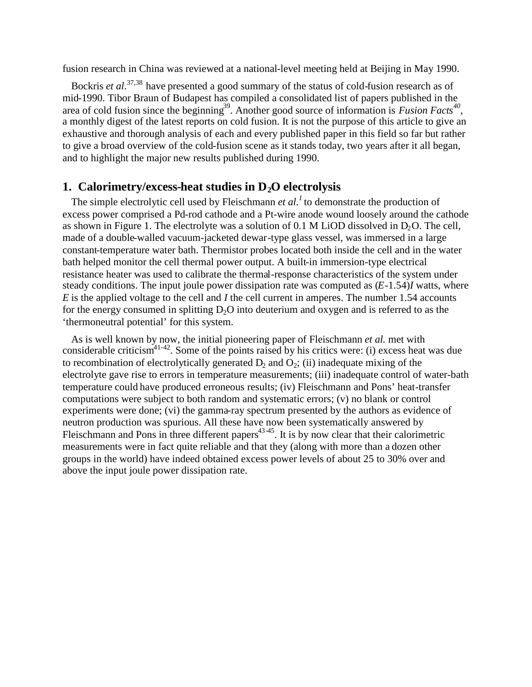fusion research in China was reviewed at a national-level meeting held at Beijing in May 1990.

Bockris *et al*. 37,38 have presented a good summary of the status of cold-fusion research as of mid-1990. Tibor Braun of Budapest has compiled a consolidated list of papers published in the area of cold fusion since the beginning<sup>39</sup>. Another good source of information is *Fusion Facts*<sup>40</sup>, a monthly digest of the latest reports on cold fusion. It is not the purpose of this article to give an exhaustive and thorough analysis of each and every published paper in this field so far but rather to give a broad overview of the cold-fusion scene as it stands today, two years after it all began, and to highlight the major new results published during 1990.

#### **1. Calorimetry/excess-heat studies in D2O electrolysis**

The simple electrolytic cell used by Fleischmann *et al.<sup>1</sup>* to demonstrate the production of excess power comprised a Pd-rod cathode and a Pt-wire anode wound loosely around the cathode as shown in Figure 1. The electrolyte was a solution of  $0.1$  M LiOD dissolved in D<sub>2</sub>O. The cell, made of a double-walled vacuum-jacketed dewar-type glass vessel, was immersed in a large constant-temperature water bath. Thermistor probes located both inside the cell and in the water bath helped monitor the cell thermal power output. A built-in immersion-type electrical resistance heater was used to calibrate the thermal-response characteristics of the system under steady conditions. The input joule power dissipation rate was computed as (*E*-1.54)*I* watts, where *E* is the applied voltage to the cell and *I* the cell current in amperes. The number 1.54 accounts for the energy consumed in splitting  $D_2O$  into deuterium and oxygen and is referred to as the 'thermoneutral potential' for this system.

As is well known by now, the initial pioneering paper of Fleischmann *et al.* met with considerable criticism<sup>41-42</sup>. Some of the points raised by his critics were: (i) excess heat was due to recombination of electrolytically generated  $D_2$  and  $O_2$ ; (ii) inadequate mixing of the electrolyte gave rise to errors in temperature measurements; (iii) inadequate control of water-bath temperature could have produced erroneous results; (iv) Fleischmann and Pons' heat-transfer computations were subject to both random and systematic errors; (v) no blank or control experiments were done; (vi) the gamma-ray spectrum presented by the authors as evidence of neutron production was spurious. All these have now been systematically answered by Fleischmann and Pons in three different papers $43-45$ . It is by now clear that their calorimetric measurements were in fact quite reliable and that they (along with more than a dozen other groups in the world) have indeed obtained excess power levels of about 25 to 30% over and above the input joule power dissipation rate.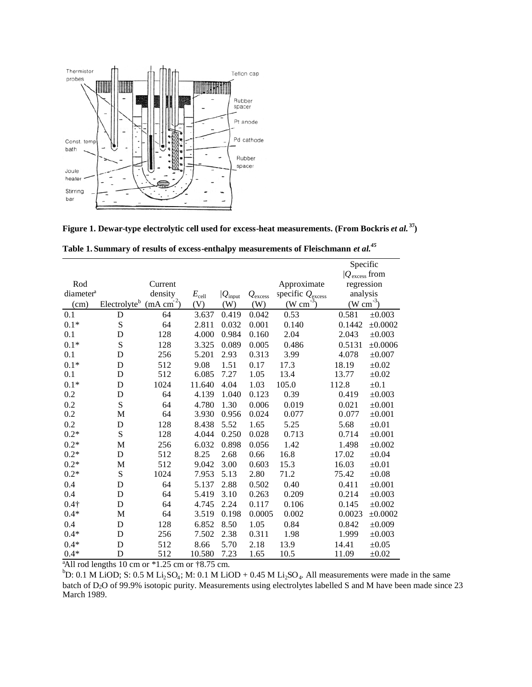

**Figure 1. Dewar-type electrolytic cell used for excess-heat measurements. (From Bockris** *et al.* **<sup>37</sup>)**

|                       |                                                   |      |            |                      |                  |                              | Specific             |             |  |
|-----------------------|---------------------------------------------------|------|------------|----------------------|------------------|------------------------------|----------------------|-------------|--|
|                       |                                                   |      |            |                      |                  | $ Q_{\rm excess}$ from       |                      |             |  |
| Rod                   | Current                                           |      |            |                      |                  | Approximate                  | regression           |             |  |
| diameter <sup>a</sup> | density                                           |      | $E_{cell}$ | $ Q_{\text{input}} $ | $Q_{\rm excess}$ | specific $Q_{\text{excess}}$ | analysis             |             |  |
| (cm)                  | (mA cm <sup>2</sup> )<br>Electrolyte <sup>b</sup> |      | (V)        | (W)                  | (W)              | $(\text{W cm}^{-3})$         | $(\text{W cm}^{-3})$ |             |  |
| 0.1                   | D                                                 | 64   | 3.637      | 0.419                | 0.042            | 0.53                         | 0.581                | ±0.003      |  |
| $0.1*$                | S                                                 | 64   | 2.811      | 0.032                | 0.001            | 0.140                        | 0.1442               | ±0.0002     |  |
| 0.1                   | D                                                 | 128  | 4.000      | 0.984                | 0.160            | 2.04                         | 2.043                | $\pm 0.003$ |  |
| $0.1*$                | S                                                 | 128  | 3.325      | 0.089                | 0.005            | 0.486                        | 0.5131               | ±0.0006     |  |
| 0.1                   | D                                                 | 256  | 5.201      | 2.93                 | 0.313            | 3.99                         | 4.078                | $\pm 0.007$ |  |
| $0.1*$                | D                                                 | 512  | 9.08       | 1.51                 | 0.17             | 17.3                         | 18.19                | $\pm 0.02$  |  |
| 0.1                   | D                                                 | 512  | 6.085      | 7.27                 | 1.05             | 13.4                         | 13.77                | $\pm 0.02$  |  |
| $0.1*$                | D                                                 | 1024 | 11.640     | 4.04                 | 1.03             | 105.0                        | 112.8                | $\pm 0.1$   |  |
| 0.2                   | D                                                 | 64   | 4.139      | 1.040                | 0.123            | 0.39                         | 0.419                | $\pm 0.003$ |  |
| 0.2                   | S                                                 | 64   | 4.780      | 1.30                 | 0.006            | 0.019                        | 0.021                | $\pm 0.001$ |  |
| 0.2                   | M                                                 | 64   | 3.930      | 0.956                | 0.024            | 0.077                        | 0.077                | $\pm 0.001$ |  |
| 0.2                   | D                                                 | 128  | 8.438      | 5.52                 | 1.65             | 5.25                         | 5.68                 | $\pm 0.01$  |  |
| $0.2*$                | S                                                 | 128  | 4.044      | 0.250                | 0.028            | 0.713                        | 0.714                | $\pm 0.001$ |  |
| $0.2*$                | M                                                 | 256  | 6.032      | 0.898                | 0.056            | 1.42                         | 1.498                | ±0.002      |  |
| $0.2*$                | D                                                 | 512  | 8.25       | 2.68                 | 0.66             | 16.8                         | 17.02                | $\pm 0.04$  |  |
| $0.2*$                | M                                                 | 512  | 9.042      | 3.00                 | 0.603            | 15.3                         | 16.03                | $\pm 0.01$  |  |
| $0.2*$                | ${\bf S}$                                         | 1024 | 7.953      | 5.13                 | 2.80             | 71.2                         | 75.42                | $\pm 0.08$  |  |
| 0.4                   | D                                                 | 64   | 5.137      | 2.88                 | 0.502            | 0.40                         | 0.411                | $\pm 0.001$ |  |
| 0.4                   | D                                                 | 64   | 5.419      | 3.10                 | 0.263            | 0.209                        | 0.214                | $\pm 0.003$ |  |
| $0.4\dagger$          | D                                                 | 64   | 4.745      | 2.24                 | 0.117            | 0.106                        | 0.145                | $\pm 0.002$ |  |
| $0.4*$                | M                                                 | 64   | 3.519      | 0.198                | 0.0005           | 0.002                        | 0.0023               | ±0.0002     |  |
| 0.4                   | D                                                 | 128  | 6.852      | 8.50                 | 1.05             | 0.84                         | 0.842                | $\pm 0.009$ |  |
| $0.4*$                | D                                                 | 256  | 7.502      | 2.38                 | 0.311            | 1.98                         | 1.999                | $\pm 0.003$ |  |
| $0.4*$                | D                                                 | 512  | 8.66       | 5.70                 | 2.18             | 13.9                         | 14.41                | $\pm 0.05$  |  |
| $0.4*$                | D                                                 | 512  | 10.580     | 7.23                 | 1.65             | 10.5                         | 11.09                | $\pm 0.02$  |  |

**Table 1. Summary of results of excess-enthalpy measurements of Fleischmann** *et al.<sup>45</sup>*

 $a$ All rod lengths 10 cm or  $*1.25$  cm or  $*8.75$  cm.

 ${}^{b}D$ : 0.1 M LiOD; S: 0.5 M Li<sub>2</sub>SO<sub>4</sub>; M: 0.1 M LiOD + 0.45 M Li<sub>2</sub>SO<sub>4</sub>. All measurements were made in the same batch of D<sub>2</sub>O of 99.9% isotopic purity. Measurements using electrolytes labelled S and M have been made since 23 March 1989.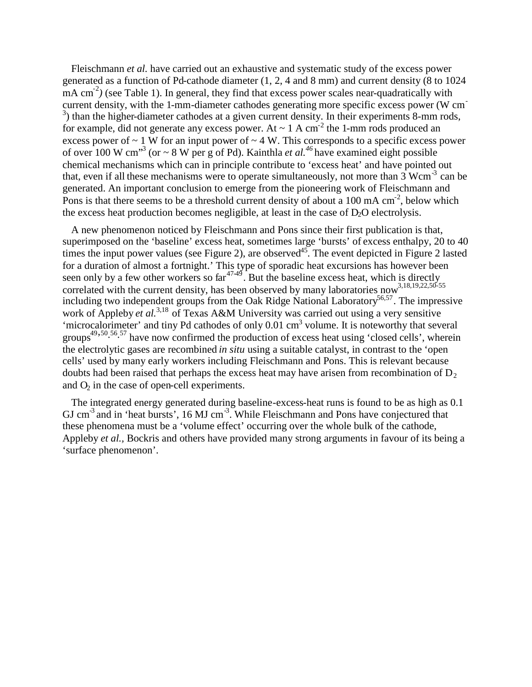Fleischmann *et al.* have carried out an exhaustive and systematic study of the excess power generated as a function of Pd-cathode diameter (1, 2, 4 and 8 mm) and current density (8 to 1024 mA cm<sup>-2</sup>) (see Table 1). In general, they find that excess power scales near-quadratically with current density, with the 1-mm-diameter cathodes generating more specific excess power (W cm-<sup>3</sup>) than the higher-diameter cathodes at a given current density. In their experiments 8-mm rods, for example, did not generate any excess power. At  $\sim 1$  A cm<sup>-2</sup> the 1-mm rods produced an excess power of  $\sim 1$  W for an input power of  $\sim 4$  W. This corresponds to a specific excess power of over 100 W cm<sup>3</sup> (or  $\sim$  8 W per g of Pd). Kainthla *et al.*<sup>46</sup> have examined eight possible chemical mechanisms which can in principle contribute to 'excess heat' and have pointed out that, even if all these mechanisms were to operate simultaneously, not more than  $3 \text{ Wcm}^{-3}$  can be generated. An important conclusion to emerge from the pioneering work of Fleischmann and Pons is that there seems to be a threshold current density of about a 100 mA  $\text{cm}^2$ , below which the excess heat production becomes negligible, at least in the case of  $D<sub>2</sub>O$  electrolysis.

A new phenomenon noticed by Fleischmann and Pons since their first publication is that, superimposed on the 'baseline' excess heat, sometimes large 'bursts' of excess enthalpy, 20 to 40 times the input power values (see Figure 2), are observed<sup>45</sup>. The event depicted in Figure 2 lasted for a duration of almost a fortnight.' This type of sporadic heat excursions has however been seen only by a few other workers so far $47-49$ . But the baseline excess heat, which is directly correlated with the current density, has been observed by many laboratories now  $3,18,19,22,50.55$ including two independent groups from the Oak Ridge National Laboratory<sup>56,57</sup>. The impressive work of Appleby *et al.*<sup>3,18</sup> of Texas A&M University was carried out using a very sensitive 'microcalorimeter' and tiny Pd cathodes of only  $0.01 \text{ cm}^3$  volume. It is noteworthy that several groups<sup>49,50</sup>.<sup>56</sup>.<sup>57</sup> have now confirmed the production of excess heat using 'closed cells', wherein the electrolytic gases are recombined *in situ* using a suitable catalyst, in contrast to the 'open cells' used by many early workers including Fleischmann and Pons. This is relevant because doubts had been raised that perhaps the excess heat may have arisen from recombination of  $D<sub>2</sub>$ and  $O<sub>2</sub>$  in the case of open-cell experiments.

The integrated energy generated during baseline-excess-heat runs is found to be as high as 0.1 GJ cm<sup>-3</sup> and in 'heat bursts', 16 MJ cm<sup>-3</sup>. While Fleischmann and Pons have conjectured that these phenomena must be a 'volume effect' occurring over the whole bulk of the cathode, Appleby *et al.,* Bockris and others have provided many strong arguments in favour of its being a 'surface phenomenon'.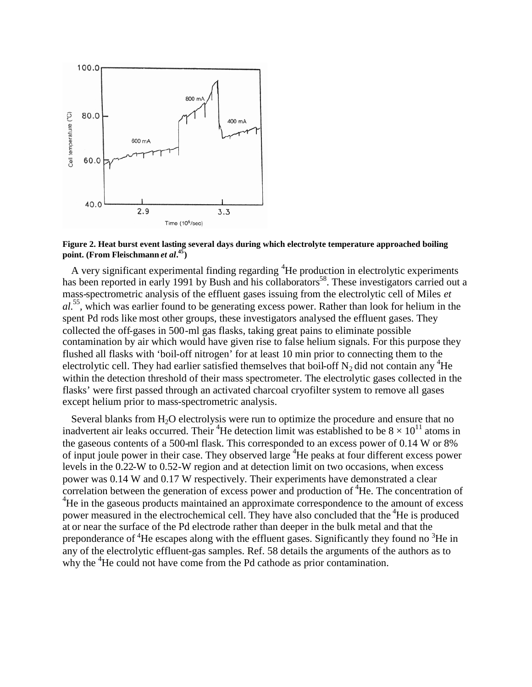

**Figure 2. Heat burst event lasting several days during which electrolyte temperature approached boiling point. (From Fleischmann** *et al***. 45)**

A very significant experimental finding regarding  ${}^{4}$ He production in electrolytic experiments has been reported in early 1991 by Bush and his collaborators<sup>58</sup>. These investigators carried out a mass-spectrometric analysis of the effluent gases issuing from the electrolytic cell of Miles *et al.*<sup>55</sup> *,* which was earlier found to be generating excess power. Rather than look for helium in the spent Pd rods like most other groups, these investigators analysed the effluent gases. They collected the off-gases in 500-ml gas flasks, taking great pains to eliminate possible contamination by air which would have given rise to false helium signals. For this purpose they flushed all flasks with 'boil-off nitrogen' for at least 10 min prior to connecting them to the electrolytic cell. They had earlier satisfied themselves that boil-off  $N_2$  did not contain any <sup>4</sup>He within the detection threshold of their mass spectrometer. The electrolytic gases collected in the flasks' were first passed through an activated charcoal cryofilter system to remove all gases except helium prior to mass-spectrometric analysis.

Several blanks from  $H_2O$  electrolysis were run to optimize the procedure and ensure that no inadvertent air leaks occurred. Their <sup>4</sup>He detection limit was established to be  $8 \times 10^{11}$  atoms in the gaseous contents of a 500-ml flask. This corresponded to an excess power of 0.14 W or 8% of input joule power in their case. They observed large <sup>4</sup>He peaks at four different excess power levels in the 0.22-W to 0.52-W region and at detection limit on two occasions, when excess power was 0.14 W and 0.17 W respectively. Their experiments have demonstrated a clear correlation between the generation of excess power and production of <sup>4</sup>He. The concentration of <sup>4</sup>He in the gaseous products maintained an approximate correspondence to the amount of excess power measured in the electrochemical cell. They have also concluded that the <sup>4</sup>He is produced at or near the surface of the Pd electrode rather than deeper in the bulk metal and that the preponderance of  ${}^{4}$ He escapes along with the effluent gases. Significantly they found no  ${}^{3}$ He in any of the electrolytic effluent-gas samples. Ref. 58 details the arguments of the authors as to why the <sup>4</sup>He could not have come from the Pd cathode as prior contamination.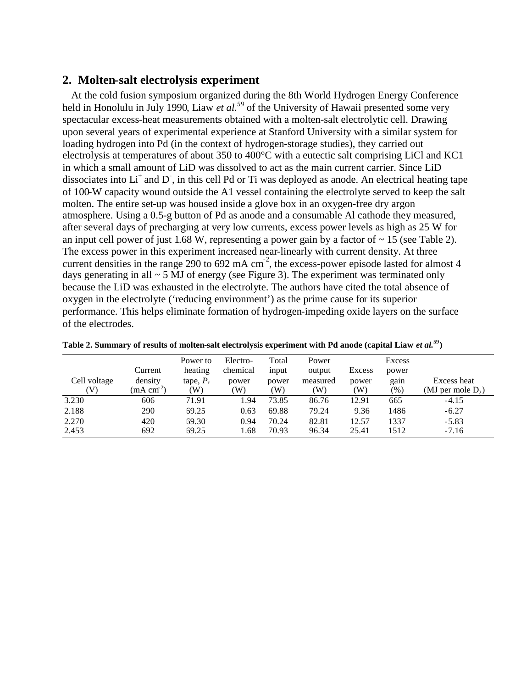#### **2. Molten-salt electrolysis experiment**

At the cold fusion symposium organized during the 8th World Hydrogen Energy Conference held in Honolulu in July 1990, Liaw *et al.*<sup>59</sup> of the University of Hawaii presented some very spectacular excess-heat measurements obtained with a molten-salt electrolytic cell. Drawing upon several years of experimental experience at Stanford University with a similar system for loading hydrogen into Pd (in the context of hydrogen-storage studies), they carried out electrolysis at temperatures of about 350 to 400°C with a eutectic salt comprising LiCl and KC1 in which a small amount of LiD was dissolved to act as the main current carrier. Since LiD dissociates into  $Li^+$  and  $D$ , in this cell Pd or Ti was deployed as anode. An electrical heating tape of 100-W capacity wound outside the A1 vessel containing the electrolyte served to keep the salt molten. The entire set-up was housed inside a glove box in an oxygen-free dry argon atmosphere. Using a 0.5-g button of Pd as anode and a consumable Al cathode they measured, after several days of precharging at very low currents, excess power levels as high as 25 W for an input cell power of just 1.68 W, representing a power gain by a factor of  $\sim 15$  (see Table 2). The excess power in this experiment increased near-linearly with current density. At three current densities in the range 290 to 692 mA  $\text{cm}^2$ , the excess-power episode lasted for almost 4 days generating in all  $\sim$  5 MJ of energy (see Figure 3). The experiment was terminated only because the LiD was exhausted in the electrolyte. The authors have cited the total absence of oxygen in the electrolyte ('reducing environment') as the prime cause for its superior performance. This helps eliminate formation of hydrogen-impeding oxide layers on the surface of the electrodes.

| Cell voltage<br>$\mathbf V$ | Current<br>density<br>(mA cm <sup>2</sup> ) | Power to<br>heating<br>tape, $P_r$<br>(W) | Electro-<br>chemical<br>power<br>W) | Total<br>input<br>power<br>W) | Power<br>output<br>measured<br>(W) | Excess<br>power<br>W) | Excess<br>power<br>gain<br>$(\%)$ | Excess heat<br>(MJ per mole $D_2$ ) |
|-----------------------------|---------------------------------------------|-------------------------------------------|-------------------------------------|-------------------------------|------------------------------------|-----------------------|-----------------------------------|-------------------------------------|
| 3.230                       | 606                                         | 71.91                                     | 1.94                                | 73.85                         | 86.76                              | 12.91                 | 665                               | $-4.15$                             |
| 2.188                       | 290                                         | 69.25                                     | 0.63                                | 69.88                         | 79.24                              | 9.36                  | 1486                              | $-6.27$                             |
| 2.270                       | 420                                         | 69.30                                     | 0.94                                | 70.24                         | 82.81                              | 12.57                 | 1337                              | $-5.83$                             |
| 2.453                       | 692                                         | 69.25                                     | 1.68                                | 70.93                         | 96.34                              | 25.41                 | 1512                              | $-7.16$                             |

**Table 2. Summary of results of molten-salt electrolysis experiment with Pd anode (capital Liaw** *et al.***<sup>59</sup>)**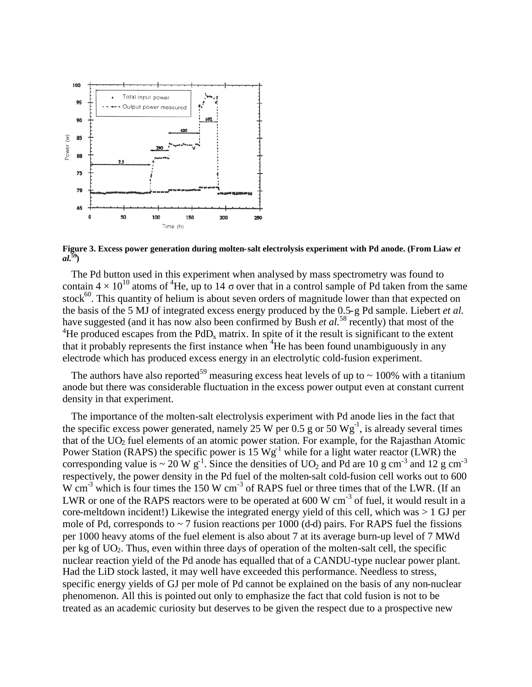

**Figure 3. Excess power generation during molten-salt electrolysis experiment with Pd anode. (From Liaw** *et al.***<sup>59</sup>)**

The Pd button used in this experiment when analysed by mass spectrometry was found to contain  $4 \times 10^{10}$  atoms of <sup>4</sup>He, up to 14  $\sigma$  over that in a control sample of Pd taken from the same stock<sup>60</sup>. This quantity of helium is about seven orders of magnitude lower than that expected on the basis of the 5 MJ of integrated excess energy produced by the 0.5-g Pd sample. Liebert *et al.* have suggested (and it has now also been confirmed by Bush *et al.*<sup>58</sup> recently) that most of the <sup>4</sup>He produced escapes from the PdD<sub>x</sub> matrix. In spite of it the result is significant to the extent that it probably represents the first instance when  ${}^{4}$ He has been found unambiguously in any electrode which has produced excess energy in an electrolytic cold-fusion experiment.

The authors have also reported<sup>59</sup> measuring excess heat levels of up to  $\sim$  100% with a titanium anode but there was considerable fluctuation in the excess power output even at constant current density in that experiment.

The importance of the molten-salt electrolysis experiment with Pd anode lies in the fact that the specific excess power generated, namely 25 W per 0.5 g or 50  $Wg^{-1}$ , is already several times that of the  $UO<sub>2</sub>$  fuel elements of an atomic power station. For example, for the Rajasthan Atomic Power Station (RAPS) the specific power is 15  $Wg^{-1}$  while for a light water reactor (LWR) the corresponding value is  $\sim 20 \text{ W g}^{-1}$ . Since the densities of UO<sub>2</sub> and Pd are 10 g cm<sup>-3</sup> and 12 g cm<sup>-3</sup> respectively, the power density in the Pd fuel of the molten-salt cold-fusion cell works out to 600  $W \text{ cm}^{-3}$  which is four times the 150 W cm<sup>-3</sup> of RAPS fuel or three times that of the LWR. (If an LWR or one of the RAPS reactors were to be operated at 600 W  $cm^{-3}$  of fuel, it would result in a core-meltdown incident!) Likewise the integrated energy yield of this cell, which was > 1 GJ per mole of Pd, corresponds to  $\sim$  7 fusion reactions per 1000 (d-d) pairs. For RAPS fuel the fissions per 1000 heavy atoms of the fuel element is also about 7 at its average burn-up level of 7 MWd per kg of  $UO<sub>2</sub>$ . Thus, even within three days of operation of the molten-salt cell, the specific nuclear reaction yield of the Pd anode has equalled that of a CANDU-type nuclear power plant. Had the LiD stock lasted, it may well have exceeded this performance. Needless to stress, specific energy yields of GJ per mole of Pd cannot be explained on the basis of any non-nuclear phenomenon. All this is pointed out only to emphasize the fact that cold fusion is not to be treated as an academic curiosity but deserves to be given the respect due to a prospective new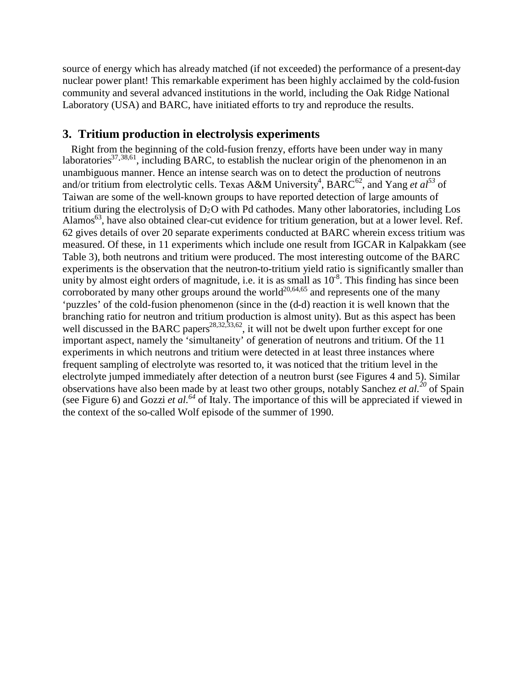source of energy which has already matched (if not exceeded) the performance of a present-day nuclear power plant! This remarkable experiment has been highly acclaimed by the cold-fusion community and several advanced institutions in the world, including the Oak Ridge National Laboratory (USA) and BARC, have initiated efforts to try and reproduce the results.

#### **3. Tritium production in electrolysis experiments**

Right from the beginning of the cold-fusion frenzy, efforts have been under way in many laboratories<sup>37, 38,61</sup>, including BARC, to establish the nuclear origin of the phenomenon in an unambiguous manner. Hence an intense search was on to detect the production of neutrons and/or tritium from electrolytic cells. Texas A&M University<sup>4</sup>, BARC<sup>62</sup>, and Yang *et al*<sup>53</sup> of Taiwan are some of the well-known groups to have reported detection of large amounts of tritium during the electrolysis of  $D_2O$  with Pd cathodes. Many other laboratories, including Los Alamos<sup>63</sup>, have also obtained clear-cut evidence for tritium generation, but at a lower level. Ref. 62 gives details of over 20 separate experiments conducted at BARC wherein excess tritium was measured. Of these, in 11 experiments which include one result from IGCAR in Kalpakkam (see Table 3), both neutrons and tritium were produced. The most interesting outcome of the BARC experiments is the observation that the neutron-to-tritium yield ratio is significantly smaller than unity by almost eight orders of magnitude, i.e. it is as small as  $10^{-8}$ . This finding has since been corroborated by many other groups around the world<sup>20,64,65</sup> and represents one of the many 'puzzles' of the cold-fusion phenomenon (since in the (d-d) reaction it is well known that the branching ratio for neutron and tritium production is almost unity). But as this aspect has been well discussed in the BARC papers<sup>28,32,33,62</sup>, it will not be dwelt upon further except for one important aspect, namely the 'simultaneity' of generation of neutrons and tritium. Of the 11 experiments in which neutrons and tritium were detected in at least three instances where frequent sampling of electrolyte was resorted to, it was noticed that the tritium level in the electrolyte jumped immediately after detection of a neutron burst (see Figures 4 and 5). Similar observations have also been made by at least two other groups, notably Sanchez *et al.<sup>20</sup>* of Spain (see Figure 6) and Gozzi *et al.<sup>64</sup>* of Italy. The importance of this will be appreciated if viewed in the context of the so-called Wolf episode of the summer of 1990.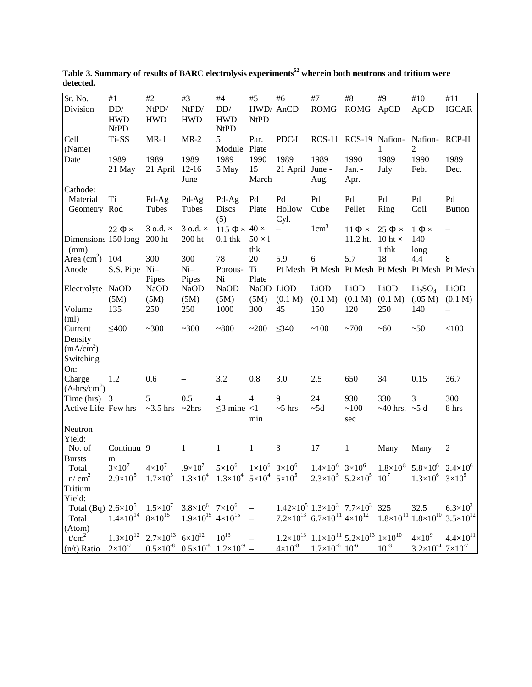| Sr. No.                                                                          | #1                                    | $\#2$                      | #3                                                      | $\#4$                                       | #5             | #6                                | #7                                                                        | $\#8$                 | #9                        | #10                                                                                                                         | #11                      |
|----------------------------------------------------------------------------------|---------------------------------------|----------------------------|---------------------------------------------------------|---------------------------------------------|----------------|-----------------------------------|---------------------------------------------------------------------------|-----------------------|---------------------------|-----------------------------------------------------------------------------------------------------------------------------|--------------------------|
| Division                                                                         | $DD/$                                 | NtPD/                      | NtPD/                                                   | DD/                                         |                | HWD/ AnCD                         | <b>ROMG</b>                                                               | <b>ROMG</b>           | ApCD                      | ApCD                                                                                                                        | <b>IGCAR</b>             |
|                                                                                  | <b>HWD</b>                            | <b>HWD</b>                 | <b>HWD</b>                                              | <b>HWD</b>                                  | <b>NtPD</b>    |                                   |                                                                           |                       |                           |                                                                                                                             |                          |
|                                                                                  | <b>NtPD</b>                           |                            |                                                         | <b>NtPD</b>                                 |                |                                   |                                                                           |                       |                           |                                                                                                                             |                          |
| Cell                                                                             | Ti-SS                                 | $MR-1$                     | $MR-2$                                                  | 5                                           | Par.           | PDC-I                             |                                                                           | RCS-11 RCS-19 Nafion- |                           | Nafion-RCP-II                                                                                                               |                          |
| (Name)                                                                           |                                       |                            |                                                         | Module Plate                                |                |                                   |                                                                           |                       | 1                         | 2                                                                                                                           |                          |
| Date                                                                             | 1989                                  | 1989                       | 1989                                                    | 1989                                        | 1990           | 1989                              | 1989                                                                      | 1990                  | 1989                      | 1990                                                                                                                        | 1989                     |
|                                                                                  | 21 May                                | 21 April                   | $12-16$                                                 | 5 May                                       | 15             | 21 April June -                   |                                                                           | Jan. -                | July                      | Feb.                                                                                                                        | Dec.                     |
|                                                                                  |                                       |                            | June                                                    |                                             | March          |                                   | Aug.                                                                      | Apr.                  |                           |                                                                                                                             |                          |
| Cathode:                                                                         |                                       |                            |                                                         |                                             |                |                                   |                                                                           |                       |                           |                                                                                                                             |                          |
| Material                                                                         | Ti                                    | Pd-Ag                      | Pd-Ag                                                   | Pd-Ag                                       | Pd             | Pd                                | Pd                                                                        | Pd                    | Pd                        | Pd                                                                                                                          | Pd                       |
| Geometry Rod                                                                     |                                       | Tubes                      | Tubes                                                   | <b>Discs</b>                                | Plate          | Hollow                            | Cube                                                                      | Pellet                | Ring                      | Coil                                                                                                                        | <b>Button</b>            |
|                                                                                  |                                       |                            |                                                         | (5)                                         |                | Cyl.                              |                                                                           |                       |                           |                                                                                                                             |                          |
|                                                                                  | 22 $\Phi \times$                      | 3 o.d. $\times$            | $3$ o.d. $\times$                                       | 115 $\Phi \times 40 \times$                 |                | $\overline{\phantom{0}}$          | $1 \text{cm}^3$                                                           | $11 \Phi \times$      | $25 \Phi \times$          | $1 \Phi \times$                                                                                                             | $\qquad \qquad -$        |
| Dimensions 150 long                                                              |                                       | 200 ht                     | $200\ \mathrm{ht}$                                      | $0.1$ th $k$                                | $50 \times 1$  |                                   |                                                                           | 11.2 ht.              | 10 ht $\times$            | 140                                                                                                                         |                          |
| (mm)                                                                             |                                       |                            |                                                         |                                             | thk            |                                   |                                                                           |                       | $1$ th $k$                | long                                                                                                                        |                          |
| Area $\text{(cm}^2\text{)}$                                                      | 104                                   | 300                        | 300                                                     | 78                                          | 20             | 5.9                               | 6                                                                         | 5.7                   | 18                        | 4.4                                                                                                                         | 8                        |
| Anode                                                                            | S.S. Pipe Ni-                         |                            | $Ni-$                                                   | Porous-                                     | Ti             |                                   |                                                                           |                       |                           | Pt Mesh Pt Mesh Pt Mesh Pt Mesh Pt Mesh Pt Mesh                                                                             |                          |
|                                                                                  |                                       | Pipes                      | Pipes                                                   | Ni                                          | Plate          |                                   |                                                                           |                       |                           |                                                                                                                             |                          |
| Electrolyte NaOD                                                                 |                                       | <b>NaOD</b>                | <b>NaOD</b>                                             | <b>NaOD</b>                                 | NaOD LiOD      |                                   | LiOD                                                                      | LiOD                  | LiOD                      | Li <sub>2</sub> SO <sub>4</sub>                                                                                             | LiOD                     |
|                                                                                  | (5M)                                  | (5M)                       | (5M)                                                    | (5M)                                        | (5M)           | (0.1 M)                           | (0.1 M)                                                                   | (0.1 M)               | (0.1 M)                   | (.05 M)                                                                                                                     | (0.1 M)                  |
| Volume                                                                           | 135                                   | 250                        | 250                                                     | 1000                                        | 300            | 45                                | 150                                                                       | 120                   | 250                       | 140                                                                                                                         | $\overline{\phantom{0}}$ |
| (ml)<br>Current                                                                  | $\leq 400$                            | ~100                       | ~100                                                    | ~1800                                       | ~200           | $\leq 340$                        | ~100                                                                      | ~100                  | ~10                       | ~50                                                                                                                         | < 100                    |
| Density                                                                          |                                       |                            |                                                         |                                             |                |                                   |                                                                           |                       |                           |                                                                                                                             |                          |
| (mA/cm <sup>2</sup> )                                                            |                                       |                            |                                                         |                                             |                |                                   |                                                                           |                       |                           |                                                                                                                             |                          |
| Switching                                                                        |                                       |                            |                                                         |                                             |                |                                   |                                                                           |                       |                           |                                                                                                                             |                          |
| On:                                                                              |                                       |                            |                                                         |                                             |                |                                   |                                                                           |                       |                           |                                                                                                                             |                          |
| Charge                                                                           | 1.2                                   | 0.6                        |                                                         | 3.2                                         | 0.8            | 3.0                               | 2.5                                                                       | 650                   | 34                        | 0.15                                                                                                                        | 36.7                     |
| $(A-hrs/cm2)$                                                                    |                                       |                            |                                                         |                                             |                |                                   |                                                                           |                       |                           |                                                                                                                             |                          |
| Time $(hrs)$ 3                                                                   |                                       | 5                          | 0.5                                                     | $\overline{4}$                              | $\overline{4}$ | 9                                 | 24                                                                        | 930                   | 330                       | 3                                                                                                                           | 300                      |
| Active Life Few hrs                                                              |                                       | $\sim$ 3.5 hrs $\sim$ 2hrs |                                                         | $\leq$ 3 mine $\leq$ 1                      |                | $~5$ hrs                          | $~1$ -5d                                                                  | ~100                  | $\sim$ 40 hrs. $\sim$ 5 d |                                                                                                                             | 8 hrs                    |
|                                                                                  |                                       |                            |                                                         |                                             | min            |                                   |                                                                           | sec                   |                           |                                                                                                                             |                          |
| Neutron                                                                          |                                       |                            |                                                         |                                             |                |                                   |                                                                           |                       |                           |                                                                                                                             |                          |
| Yield:                                                                           |                                       |                            |                                                         |                                             |                |                                   |                                                                           |                       |                           |                                                                                                                             |                          |
| No. of                                                                           | Continuu 9                            |                            | 1                                                       | $\mathbf{1}$                                | 1              | 3                                 | 17                                                                        | 1                     | Many                      | Many                                                                                                                        | $\overline{2}$           |
| <b>Bursts</b>                                                                    | m                                     |                            |                                                         |                                             |                |                                   |                                                                           |                       |                           |                                                                                                                             |                          |
| Total                                                                            | $3\times10^7$                         | $4 \times 10^7$            | $.9\times10^{7}$                                        | $5\times10^6$                               |                | $1 \times 10^6$ 3×10 <sup>6</sup> | $1.4\times10^{6}$ 3×10 <sup>6</sup>                                       |                       | $1.8 \times 10^8$         | $5.8\times10^{6}$ 2.4×10 <sup>6</sup>                                                                                       |                          |
| n/cm <sup>2</sup>                                                                | $2.9 \times 10^5$                     | $1.7 \times 10^{5}$        | $1.3 \times 10^{4}$                                     | $1.3\times10^4$ $5\times10^4$ $5\times10^5$ |                |                                   | $2.3 \times 10^5$ 5.2×10 <sup>5</sup>                                     |                       | 10 <sup>7</sup>           | $1.3 \times 10^6$ $3 \times 10^5$                                                                                           |                          |
| Tritium                                                                          |                                       |                            |                                                         |                                             |                |                                   |                                                                           |                       |                           |                                                                                                                             |                          |
| Yield:                                                                           |                                       |                            |                                                         |                                             |                |                                   |                                                                           |                       |                           |                                                                                                                             |                          |
| Total (Bq) $2.6 \times 10^5$ $1.5 \times 10^7$ $3.8 \times 10^6$ $7 \times 10^6$ |                                       |                            |                                                         |                                             |                |                                   | $1.42\times10^5$ $1.3\times10^3$ $7.7\times10^3$ 325                      |                       |                           | 32.5                                                                                                                        | $6.3\times10^{3}$        |
| Total                                                                            | $1.4\times10^{14}$ 8×10 <sup>15</sup> |                            | $1.9\times10^{15}$ 4×10 <sup>15</sup>                   |                                             |                |                                   |                                                                           |                       |                           | 7.2×10 <sup>13</sup> 6.7×10 <sup>11</sup> 4×10 <sup>12</sup> 1.8×10 <sup>11</sup> 1.8×10 <sup>10</sup> 3.5×10 <sup>12</sup> |                          |
| (Atom)                                                                           |                                       |                            |                                                         |                                             |                |                                   |                                                                           |                       |                           |                                                                                                                             |                          |
| t/cm <sup>2</sup>                                                                | $1.3\times10^{12}$                    |                            | $2.7\times10^{13}$ 6 $\times10^{12}$ 10 <sup>13</sup>   |                                             |                |                                   | $1.2\times10^{13}$ $1.1\times10^{11}$ $5.2\times10^{13}$ $1\times10^{10}$ |                       |                           | $4\times10^{9}$                                                                                                             | $4.4 \times 10^{11}$     |
| $(n/t)$ Ratio                                                                    | $2 \times 10^{-7}$                    |                            | $0.5 \times 10^8$ $0.5 \times 10^8$ $1.2 \times 10^9$ - |                                             |                |                                   | $4\times10^{-8}$ 1.7 $\times10^{-6}$ 10 <sup>-6</sup>                     |                       | $10^{-3}$                 | $3.2\times10^{-4}$ 7×10 <sup>-7</sup>                                                                                       |                          |

**Table 3. Summary of results of BARC electrolysis experiments<sup>62</sup> wherein both neutrons and tritium were detected.**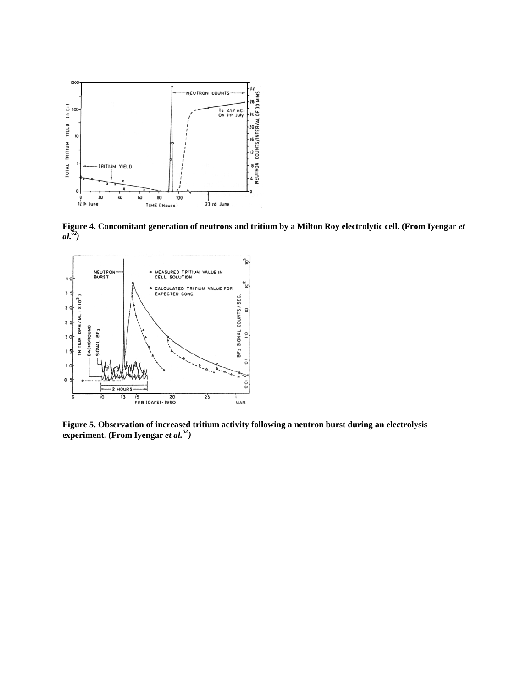

**Figure 4. Concomitant generation of neutrons and tritium by a Milton Roy electrolytic cell. (From Iyengar** *et al.<sup>62</sup>)*



**Figure 5. Observation of increased tritium activity following a neutron burst during an electrolysis experiment. (From Iyengar** *et al.<sup>62</sup>)*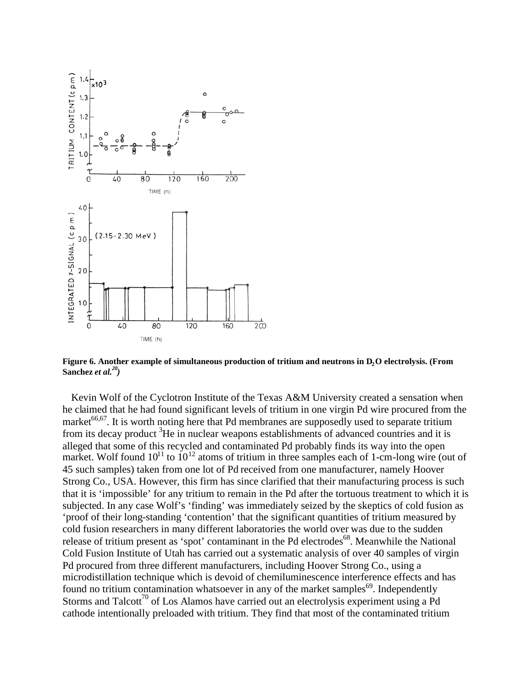

**Figure 6. Another example of simultaneous production of tritium and neutrons in D2O electrolysis. (From Sanchez** *et al.<sup>20</sup>)*

Kevin Wolf of the Cyclotron Institute of the Texas A&M University created a sensation when he claimed that he had found significant levels of tritium in one virgin Pd wire procured from the market<sup>66,67</sup>. It is worth noting here that Pd membranes are supposedly used to separate tritium from its decay product <sup>3</sup>He in nuclear weapons establishments of advanced countries and it is alleged that some of this recycled and contaminated Pd probably finds its way into the open market. Wolf found  $10^{11}$  to  $10^{12}$  atoms of tritium in three samples each of 1-cm-long wire (out of 45 such samples) taken from one lot of Pd received from one manufacturer, namely Hoover Strong Co., USA. However, this firm has since clarified that their manufacturing process is such that it is 'impossible' for any tritium to remain in the Pd after the tortuous treatment to which it is subjected. In any case Wolf's 'finding' was immediately seized by the skeptics of cold fusion as 'proof of their long-standing 'contention' that the significant quantities of tritium measured by cold fusion researchers in many different laboratories the world over was due to the sudden release of tritium present as 'spot' contaminant in the Pd electrodes<sup>68</sup>. Meanwhile the National Cold Fusion Institute of Utah has carried out a systematic analysis of over 40 samples of virgin Pd procured from three different manufacturers, including Hoover Strong Co., using a microdistillation technique which is devoid of chemiluminescence interference effects and has found no tritium contamination whatsoever in any of the market samples<sup>69</sup>. Independently Storms and Talcott<sup>70</sup> of Los Alamos have carried out an electrolysis experiment using a Pd cathode intentionally preloaded with tritium. They find that most of the contaminated tritium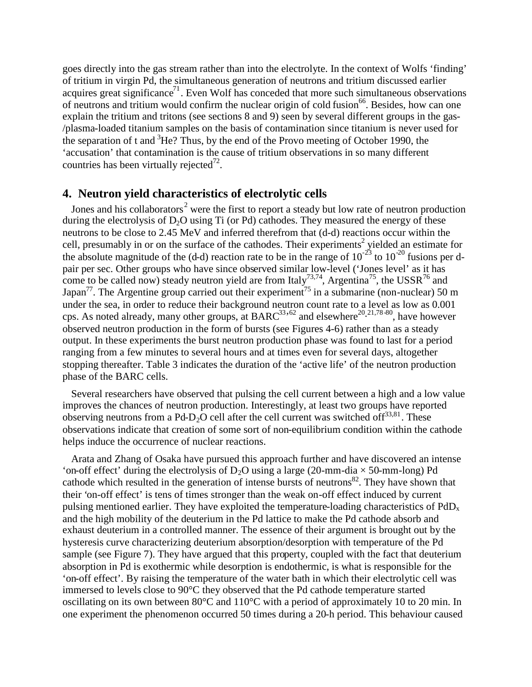goes directly into the gas stream rather than into the electrolyte. In the context of Wolfs 'finding' of tritium in virgin Pd, the simultaneous generation of neutrons and tritium discussed earlier acquires great significance<sup>71</sup>. Even Wolf has conceded that more such simultaneous observations of neutrons and tritium would confirm the nuclear origin of cold fusion<sup>66</sup>. Besides, how can one explain the tritium and tritons (see sections 8 and 9) seen by several different groups in the gas- /plasma-loaded titanium samples on the basis of contamination since titanium is never used for the separation of t and  ${}^{3}$ He? Thus, by the end of the Provo meeting of October 1990, the 'accusation' that contamination is the cause of tritium observations in so many different countries has been virtually rejected $^{72}$ .

# **4. Neutron yield characteristics of electrolytic cells**

Jones and his collaborators<sup>2</sup> were the first to report a steady but low rate of neutron production during the electrolysis of  $D_2O$  using Ti (or Pd) cathodes. They measured the energy of these neutrons to be close to 2.45 MeV and inferred therefrom that (d-d) reactions occur within the cell, presumably in or on the surface of the cathodes. Their experiments<sup>2</sup> yielded an estimate for the absolute magnitude of the (d-d) reaction rate to be in the range of  $10^{-23}$  to  $10^{-20}$  fusions per dpair per sec. Other groups who have since observed similar low-level ('Jones level' as it has come to be called now) steady neutron yield are from Italy<sup>73,74</sup>, Argentina<sup>75</sup>, the USSR<sup>76</sup> and Japan<sup>77</sup>. The Argentine group carried out their experiment<sup>75</sup> in a submarine (non-nuclear) 50 m under the sea, in order to reduce their background neutron count rate to a level as low as 0.001 cps. As noted already, many other groups, at BARC<sup>33,62</sup> and elsewhere<sup>20,21,78-80</sup>, have however observed neutron production in the form of bursts (see Figures 4-6) rather than as a steady output. In these experiments the burst neutron production phase was found to last for a period ranging from a few minutes to several hours and at times even for several days, altogether stopping thereafter. Table 3 indicates the duration of the 'active life' of the neutron production phase of the BARC cells.

Several researchers have observed that pulsing the cell current between a high and a low value improves the chances of neutron production. Interestingly, at least two groups have reported observing neutrons from a Pd-D<sub>2</sub>O cell after the cell current was switched of  $f^{33,81}$ . These observations indicate that creation of some sort of non-equilibrium condition within the cathode helps induce the occurrence of nuclear reactions.

Arata and Zhang of Osaka have pursued this approach further and have discovered an intense 'on-off effect' during the electrolysis of  $D_2O$  using a large (20-mm-dia  $\times$  50-mm-long) Pd cathode which resulted in the generation of intense bursts of neutrons<sup>82</sup>. They have shown that their 'on-off effect' is tens of times stronger than the weak on-off effect induced by current pulsing mentioned earlier. They have exploited the temperature-loading characteristics of PdD<sup>x</sup> and the high mobility of the deuterium in the Pd lattice to make the Pd cathode absorb and exhaust deuterium in a controlled manner. The essence of their argument is brought out by the hysteresis curve characterizing deuterium absorption/desorption with temperature of the Pd sample (see Figure 7). They have argued that this property, coupled with the fact that deuterium absorption in Pd is exothermic while desorption is endothermic, is what is responsible for the 'on-off effect'. By raising the temperature of the water bath in which their electrolytic cell was immersed to levels close to 90°C they observed that the Pd cathode temperature started oscillating on its own between 80°C and 110°C with a period of approximately 10 to 20 min. In one experiment the phenomenon occurred 50 times during a 20-h period. This behaviour caused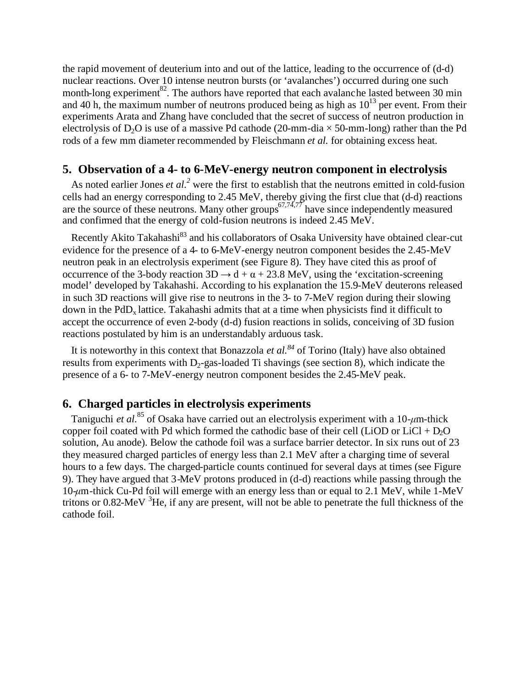the rapid movement of deuterium into and out of the lattice, leading to the occurrence of (d-d) nuclear reactions. Over 10 intense neutron bursts (or 'avalanches') occurred during one such month-long experiment<sup>82</sup>. The authors have reported that each avalanche lasted between 30 min and 40 h, the maximum number of neutrons produced being as high as  $10^{13}$  per event. From their experiments Arata and Zhang have concluded that the secret of success of neutron production in electrolysis of D<sub>2</sub>O is use of a massive Pd cathode (20-mm-dia  $\times$  50-mm-long) rather than the Pd rods of a few mm diameter recommended by Fleischmann *et al.* for obtaining excess heat.

#### **5. Observation of a 4- to 6-MeV-energy neutron component in electrolysis**

As noted earlier Jones *et al.<sup>2</sup>* were the first to establish that the neutrons emitted in cold-fusion cells had an energy corresponding to 2.45 MeV, thereby giving the first clue that (d-d) reactions are the source of these neutrons. Many other groups<sup>67,74,77</sup> have since independently measured and confirmed that the energy of cold-fusion neutrons is indeed 2.45 MeV.

Recently Akito Takahashi<sup>83</sup> and his collaborators of Osaka University have obtained clear-cut evidence for the presence of a 4- to 6-MeV-energy neutron component besides the 2.45-MeV neutron peak in an electrolysis experiment (see Figure 8). They have cited this as proof of occurrence of the 3-body reaction  $3D \rightarrow d + \alpha + 23.8$  MeV, using the 'excitation-screening model' developed by Takahashi. According to his explanation the 15.9-MeV deuterons released in such 3D reactions will give rise to neutrons in the 3- to 7-MeV region during their slowing down in the  $PdD<sub>x</sub>$  lattice. Takahashi admits that at a time when physicists find it difficult to accept the occurrence of even 2-body (d-d) fusion reactions in solids, conceiving of 3D fusion reactions postulated by him is an understandably arduous task.

It is noteworthy in this context that Bonazzola *et al.<sup>84</sup>* of Torino (Italy) have also obtained results from experiments with  $D_2$ -gas-loaded Ti shavings (see section 8), which indicate the presence of a 6- to 7-MeV-energy neutron component besides the 2.45-MeV peak.

# **6. Charged particles in electrolysis experiments**

Taniguchi *et al.*<sup>85</sup> of Osaka have carried out an electrolysis experiment with a 10-*μ*m-thick copper foil coated with Pd which formed the cathodic base of their cell (LiOD or LiCl + D<sub>2</sub>O solution, Au anode). Below the cathode foil was a surface barrier detector. In six runs out of 23 they measured charged particles of energy less than 2.1 MeV after a charging time of several hours to a few days. The charged-particle counts continued for several days at times (see Figure 9). They have argued that 3-MeV protons produced in (d-d) reactions while passing through the 10-*μ*m-thick Cu-Pd foil will emerge with an energy less than or equal to 2.1 MeV, while 1-MeV tritons or  $0.82$ -MeV  ${}^{3}$ He, if any are present, will not be able to penetrate the full thickness of the cathode foil.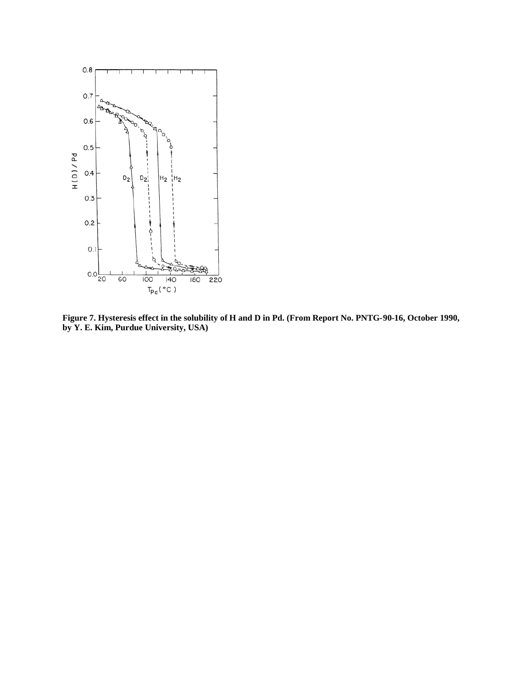

**Figure 7. Hysteresis effect in the solubility of H and D in Pd. (From Report No. PNTG-90-16, October 1990, by Y. E. Kim, Purdue University, USA)**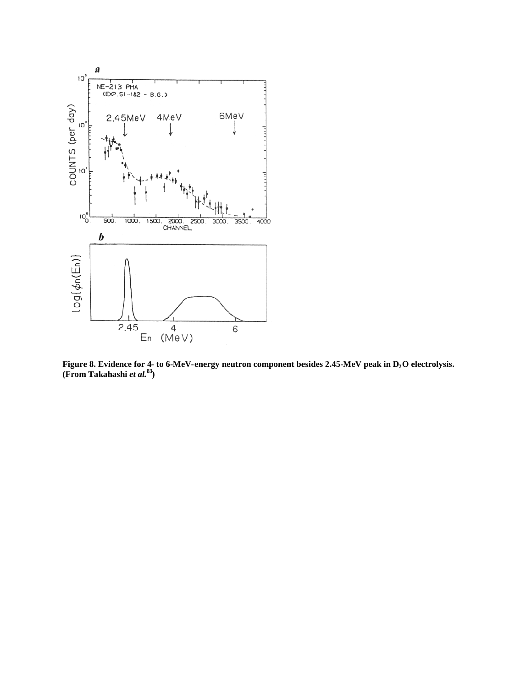

**Figure 8. Evidence for 4- to 6-MeV-energy neutron component besides 2.45-MeV peak in D2O electrolysis. (From Takahashi** *et al***. 83)**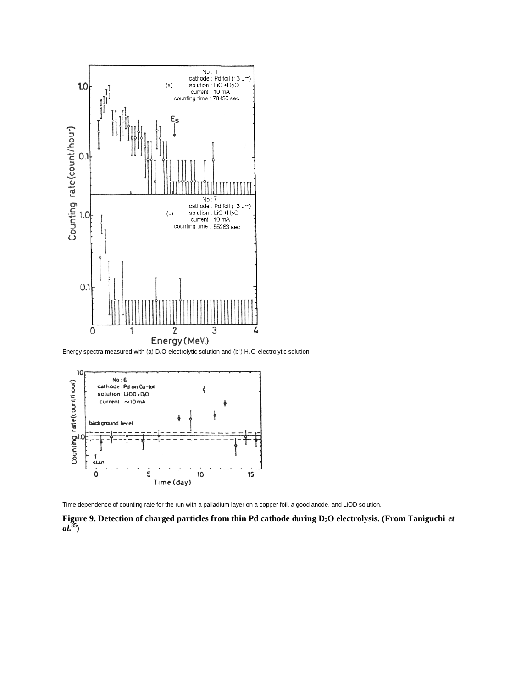

Energy spectra measured with (a)  $D_2O$ -electrolytic solution and (b<sup>1</sup>)  $H_2O$ -electrolytic solution.



Time dependence of counting rate for the run with a palladium layer on a copper foil, a good anode, and LiOD solution.

**Figure 9. Detection of charged particles from thin Pd cathode during D2O electrolysis. (From Taniguchi** *et al.***<sup>85</sup>)**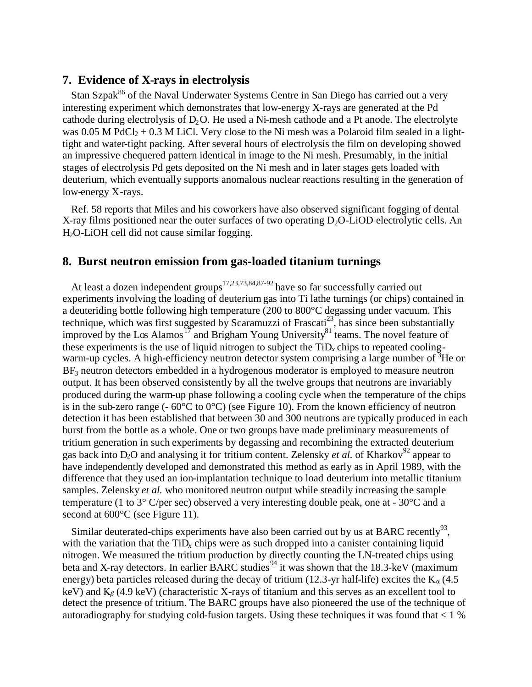## **7. Evidence of X-rays in electrolysis**

Stan Szpak<sup>86</sup> of the Naval Underwater Systems Centre in San Diego has carried out a very interesting experiment which demonstrates that low-energy X-rays are generated at the Pd cathode during electrolysis of  $D_2O$ . He used a Ni-mesh cathode and a Pt anode. The electrolyte was 0.05 M PdCl<sub>2</sub> + 0.3 M LiCl. Very close to the Ni mesh was a Polaroid film sealed in a lighttight and water-tight packing. After several hours of electrolysis the film on developing showed an impressive chequered pattern identical in image to the Ni mesh. Presumably, in the initial stages of electrolysis Pd gets deposited on the Ni mesh and in later stages gets loaded with deuterium, which eventually supports anomalous nuclear reactions resulting in the generation of low-energy X-rays.

Ref. 58 reports that Miles and his coworkers have also observed significant fogging of dental X-ray films positioned near the outer surfaces of two operating  $D<sub>2</sub>O-LiOD$  electrolytic cells. An H<sub>2</sub>O-LiOH cell did not cause similar fogging.

#### **8. Burst neutron emission from gas-loaded titanium turnings**

At least a dozen independent groups<sup>17,23,73,84,87-92</sup> have so far successfully carried out experiments involving the loading of deuterium gas into Ti lathe turnings (or chips) contained in a deuteriding bottle following high temperature (200 to 800°C degassing under vacuum. This technique, which was first suggested by Scaramuzzi of Frascati<sup>23</sup>, has since been substantially improved by the Los Alamos<sup>17</sup> and Brigham Young University<sup>81</sup> teams. The novel feature of these experiments is the use of liquid nitrogen to subject the  $TiD<sub>x</sub>$  chips to repeated coolingwarm-up cycles. A high-efficiency neutron detector system comprising a large number of  ${}^{3}$ He or  $BF<sub>3</sub>$  neutron detectors embedded in a hydrogenous moderator is employed to measure neutron output. It has been observed consistently by all the twelve groups that neutrons are invariably produced during the warm-up phase following a cooling cycle when the temperature of the chips is in the sub-zero range  $(-60^{\circ}C \text{ to } 0^{\circ}C)$  (see Figure 10). From the known efficiency of neutron detection it has been established that between 30 and 300 neutrons are typically produced in each burst from the bottle as a whole. One or two groups have made preliminary measurements of tritium generation in such experiments by degassing and recombining the extracted deuterium gas back into D<sub>2</sub>O and analysing it for tritium content. Zelensky *et al.* of Kharkov<sup>92</sup> appear to have independently developed and demonstrated this method as early as in April 1989, with the difference that they used an ion-implantation technique to load deuterium into metallic titanium samples. Zelensky *et al.* who monitored neutron output while steadily increasing the sample temperature (1 to 3° C/per sec) observed a very interesting double peak, one at - 30°C and a second at  $600^{\circ}$ C (see Figure 11).

Similar deuterated-chips experiments have also been carried out by us at BARC recently<sup>93</sup>, with the variation that the  $TiD<sub>x</sub>$  chips were as such dropped into a canister containing liquid nitrogen. We measured the tritium production by directly counting the LN-treated chips using beta and X-ray detectors. In earlier BARC studies<sup>94</sup> it was shown that the 18.3-keV (maximum energy) beta particles released during the decay of tritium (12.3-yr half-life) excites the  $K_a(4.5)$ keV) and Κ*β*(4.9 keV) (characteristic X-rays of titanium and this serves as an excellent tool to detect the presence of tritium. The BARC groups have also pioneered the use of the technique of autoradiography for studying cold-fusion targets. Using these techniques it was found that < 1 %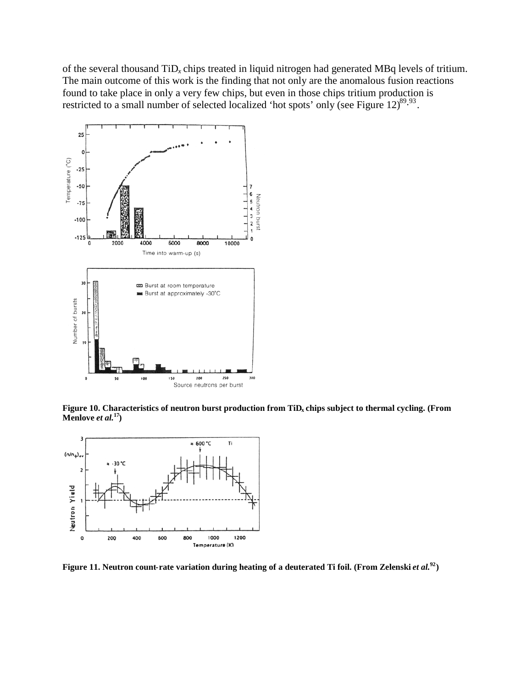of the several thousand TiD*<sup>x</sup>* chips treated in liquid nitrogen had generated MBq levels of tritium. The main outcome of this work is the finding that not only are the anomalous fusion reactions found to take place in only a very few chips, but even in those chips tritium production is restricted to a small number of selected localized 'hot spots' only (see Figure  $12)^{89.93}$ .



**Figure 10. Characteristics of neutron burst production from TiD<sup>x</sup> chips subject to thermal cycling. (From Menlove** *et al.***<sup>17</sup>)**



**Figure 11. Neutron count-rate variation during heating of a deuterated Ti foil. (From Zelenski** *et al.***<sup>92</sup>)**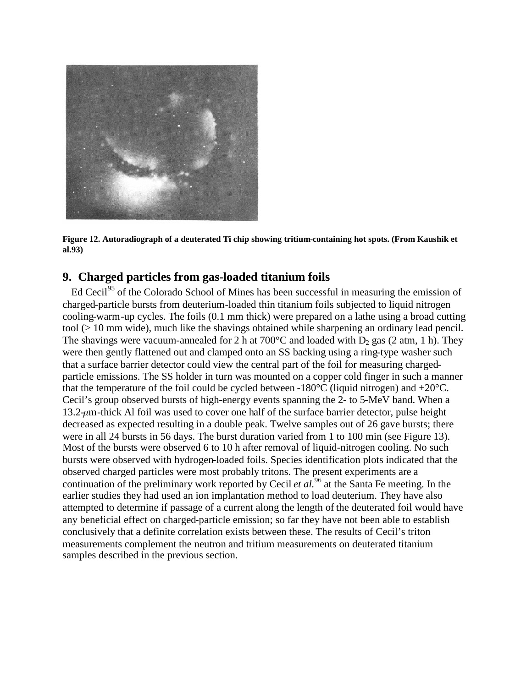

**Figure 12. Autoradiograph of a deuterated Ti chip showing tritium-containing hot spots. (From Kaushik et al.93)**

# **9. Charged particles from gas-loaded titanium foils**

Ed Cecil<sup>95</sup> of the Colorado School of Mines has been successful in measuring the emission of charged-particle bursts from deuterium-loaded thin titanium foils subjected to liquid nitrogen cooling-warm-up cycles. The foils (0.1 mm thick) were prepared on a lathe using a broad cutting tool (> 10 mm wide), much like the shavings obtained while sharpening an ordinary lead pencil. The shavings were vacuum-annealed for 2 h at  $700^{\circ}$ C and loaded with D<sub>2</sub> gas (2 atm, 1 h). They were then gently flattened out and clamped onto an SS backing using a ring-type washer such that a surface barrier detector could view the central part of the foil for measuring chargedparticle emissions. The SS holder in turn was mounted on a copper cold finger in such a manner that the temperature of the foil could be cycled between -180 $\degree$ C (liquid nitrogen) and +20 $\degree$ C. Cecil's group observed bursts of high-energy events spanning the 2- to 5-MeV band. When a 13.2-*μ*m-thick Al foil was used to cover one half of the surface barrier detector, pulse height decreased as expected resulting in a double peak. Twelve samples out of 26 gave bursts; there were in all 24 bursts in 56 days. The burst duration varied from 1 to 100 min (see Figure 13). Most of the bursts were observed 6 to 10 h after removal of liquid-nitrogen cooling. No such bursts were observed with hydrogen-loaded foils. Species identification plots indicated that the observed charged particles were most probably tritons. The present experiments are a continuation of the preliminary work reported by Cecil *et al.*<sup>96</sup> at the Santa Fe meeting. In the earlier studies they had used an ion implantation method to load deuterium. They have also attempted to determine if passage of a current along the length of the deuterated foil would have any beneficial effect on charged-particle emission; so far they have not been able to establish conclusively that a definite correlation exists between these. The results of Cecil's triton measurements complement the neutron and tritium measurements on deuterated titanium samples described in the previous section.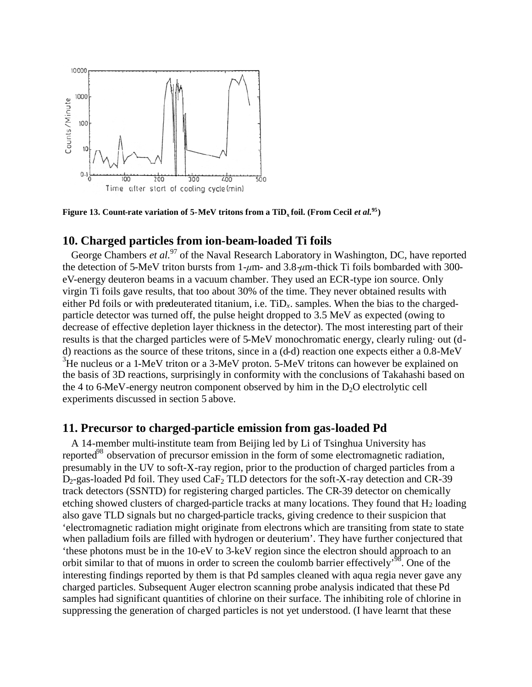

**Figure 13. Count-rate variation of 5-MeV tritons from a TiD<sup>x</sup> foil. (From Cecil** *et al.***<sup>95</sup>)**

## **10. Charged particles from ion-beam-loaded Ti foils**

George Chambers *et al.*<sup>97</sup> of the Naval Research Laboratory in Washington, DC, have reported the detection of 5-MeV triton bursts from 1-*μ*m- and 3.8-*μ*m-thick Ti foils bombarded with 300 eV-energy deuteron beams in a vacuum chamber. They used an ECR-type ion source. Only virgin Ti foils gave results, that too about 30% of the time. They never obtained results with either Pd foils or with predeuterated titanium, i.e.  $T_{i}D_{x}$ . samples. When the bias to the chargedparticle detector was turned off, the pulse height dropped to 3.5 MeV as expected (owing to decrease of effective depletion layer thickness in the detector). The most interesting part of their results is that the charged particles were of 5-MeV monochromatic energy, clearly ruling· out (dd) reactions as the source of these tritons, since in a (d-d) reaction one expects either a 0.8-MeV  $3$ He nucleus or a 1-MeV triton or a 3-MeV proton. 5-MeV tritons can however be explained on the basis of 3D reactions, surprisingly in conformity with the conclusions of Takahashi based on the 4 to 6-MeV-energy neutron component observed by him in the  $D<sub>2</sub>O$  electrolytic cell experiments discussed in section 5 above.

#### **11. Precursor to charged-particle emission from gas-loaded Pd**

A 14-member multi-institute team from Beijing led by Li of Tsinghua University has reported<sup>98</sup> observation of precursor emission in the form of some electromagnetic radiation, presumably in the UV to soft-X-ray region, prior to the production of charged particles from a  $D_2$ -gas-loaded Pd foil. They used CaF<sub>2</sub> TLD detectors for the soft-X-ray detection and CR-39 track detectors (SSNTD) for registering charged particles. The CR-39 detector on chemically etching showed clusters of charged-particle tracks at many locations. They found that  $H_2$  loading also gave TLD signals but no charged-particle tracks, giving credence to their suspicion that 'electromagnetic radiation might originate from electrons which are transiting from state to state when palladium foils are filled with hydrogen or deuterium'. They have further conjectured that 'these photons must be in the 10-eV to 3-keV region since the electron should approach to an orbit similar to that of muons in order to screen the coulomb barrier effectively<sup>98</sup>. One of the interesting findings reported by them is that Pd samples cleaned with aqua regia never gave any charged particles. Subsequent Auger electron scanning probe analysis indicated that these Pd samples had significant quantities of chlorine on their surface. The inhibiting role of chlorine in suppressing the generation of charged particles is not yet understood. (I have learnt that these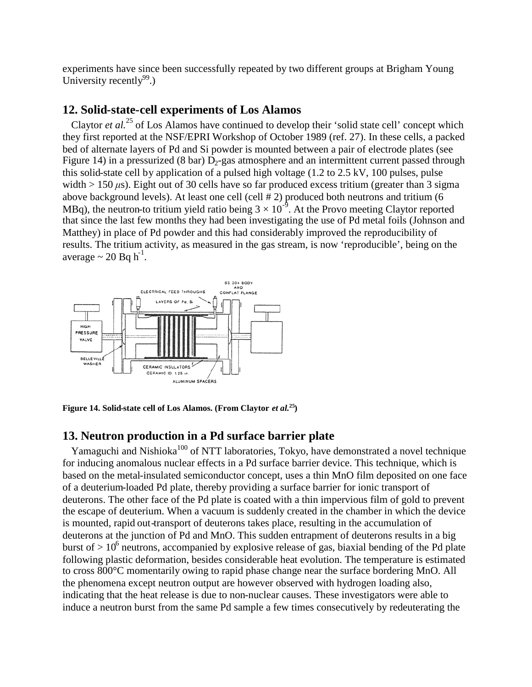experiments have since been successfully repeated by two different groups at Brigham Young University recently $99.$ )

## **12. Solid-state-cell experiments of Los Alamos**

Claytor *et al.*<sup>25</sup> of Los Alamos have continued to develop their 'solid state cell' concept which they first reported at the NSF/EPRI Workshop of October 1989 (ref. 27). In these cells, a packed bed of alternate layers of Pd and Si powder is mounted between a pair of electrode plates (see Figure 14) in a pressurized (8 bar)  $D_2$ -gas atmosphere and an intermittent current passed through this solid-state cell by application of a pulsed high voltage (1.2 to 2.5 kV, 100 pulses, pulse width  $> 150 \,\mu s$ ). Eight out of 30 cells have so far produced excess tritium (greater than 3 sigma above background levels). At least one cell (cell # 2) produced both neutrons and tritium (6 MBq), the neutron-to tritium yield ratio being  $3 \times 10^{-9}$ . At the Provo meeting Claytor reported that since the last few months they had been investigating the use of Pd metal foils (Johnson and Matthey) in place of Pd powder and this had considerably improved the reproducibility of results. The tritium activity, as measured in the gas stream, is now 'reproducible', being on the average  $\sim 20$  Bq h<sup>-1</sup>.



**Figure 14. Solid-state cell of Los Alamos. (From Claytor** *et al.***<sup>25</sup>)**

# **13. Neutron production in a Pd surface barrier plate**

Yamaguchi and Nishioka<sup>100</sup> of NTT laboratories, Tokyo, have demonstrated a novel technique for inducing anomalous nuclear effects in a Pd surface barrier device. This technique, which is based on the metal-insulated semiconductor concept, uses a thin MnO film deposited on one face of a deuterium-loaded Pd plate, thereby providing a surface barrier for ionic transport of deuterons. The other face of the Pd plate is coated with a thin impervious film of gold to prevent the escape of deuterium. When a vacuum is suddenly created in the chamber in which the device is mounted, rapid out-transport of deuterons takes place, resulting in the accumulation of deuterons at the junction of Pd and MnO. This sudden entrapment of deuterons results in a big burst of  $> 10^6$  neutrons, accompanied by explosive release of gas, biaxial bending of the Pd plate following plastic deformation, besides considerable heat evolution. The temperature is estimated to cross 800°C momentarily owing to rapid phase change near the surface bordering MnO. All the phenomena except neutron output are however observed with hydrogen loading also, indicating that the heat release is due to non-nuclear causes. These investigators were able to induce a neutron burst from the same Pd sample a few times consecutively by redeuterating the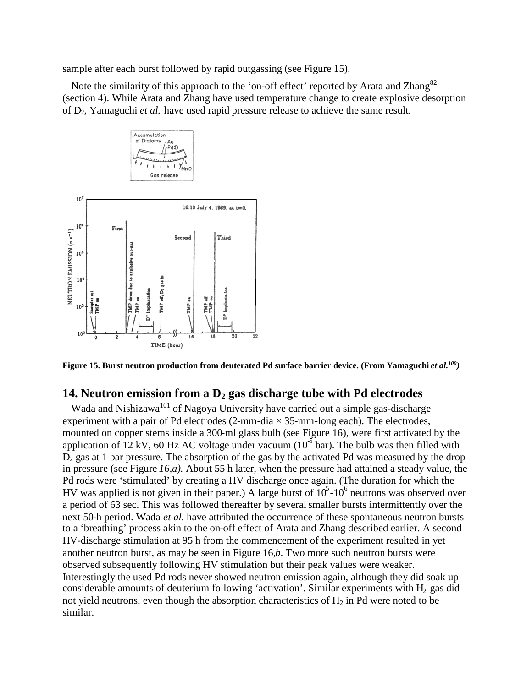sample after each burst followed by rapid outgassing (see Figure 15).

Note the similarity of this approach to the 'on-off effect' reported by Arata and Zhang<sup>82</sup> (section 4). While Arata and Zhang have used temperature change to create explosive desorption of D2, Yamaguchi *et al.* have used rapid pressure release to achieve the same result.



**Figure 15. Burst neutron production from deuterated Pd surface barrier device. (From Yamaguchi** *et al.<sup>100</sup>)*

#### **14. Neutron emission from a D<sup>2</sup> gas discharge tube with Pd electrodes**

Wada and Nishizawa<sup>101</sup> of Nagoya University have carried out a simple gas-discharge experiment with a pair of Pd electrodes  $(2$ -mm-dia  $\times$  35-mm-long each). The electrodes, mounted on copper stems inside a 300-ml glass bulb (see Figure 16), were first activated by the application of 12 kV, 60 Hz AC voltage under vacuum ( $10^{-5}$  bar). The bulb was then filled with  $D_2$  gas at 1 bar pressure. The absorption of the gas by the activated Pd was measured by the drop in pressure (see Figure *16,a).* About 55 h later, when the pressure had attained a steady value, the Pd rods were 'stimulated' by creating a HV discharge once again. (The duration for which the HV was applied is not given in their paper.) A large burst of  $10^5$ - $10^6$  neutrons was observed over a period of 63 sec. This was followed thereafter by severalsmaller bursts intermittently over the next 50-h period. Wada *et al.* have attributed the occurrence of these spontaneous neutron bursts to a 'breathing' process akin to the on-off effect of Arata and Zhang described earlier. A second HV-discharge stimulation at 95 h from the commencement of the experiment resulted in yet another neutron burst, as may be seen in Figure 16,*b*. Two more such neutron bursts were observed subsequently following HV stimulation but their peak values were weaker. Interestingly the used Pd rods never showed neutron emission again, although they did soak up considerable amounts of deuterium following 'activation'. Similar experiments with  $H_2$  gas did not yield neutrons, even though the absorption characteristics of  $H_2$  in Pd were noted to be similar.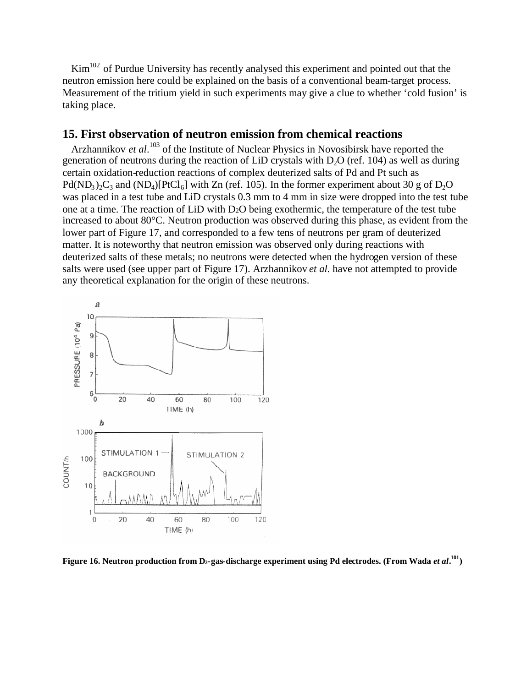Kim<sup>102</sup> of Purdue University has recently analysed this experiment and pointed out that the neutron emission here could be explained on the basis of a conventional beam-target process. Measurement of the tritium yield in such experiments may give a clue to whether 'cold fusion' is taking place.

#### **15. First observation of neutron emission from chemical reactions**

Arzhannikov *et al*. <sup>103</sup> of the Institute of Nuclear Physics in Novosibirsk have reported the generation of neutrons during the reaction of LiD crystals with  $D_2O$  (ref. 104) as well as during certain oxidation-reduction reactions of complex deuterized salts of Pd and Pt such as Pd(ND<sub>3</sub>)<sub>2</sub>C<sub>3</sub> and (ND<sub>4</sub>)[PtCl<sub>6</sub>] with Zn (ref. 105). In the former experiment about 30 g of D<sub>2</sub>O was placed in a test tube and LiD crystals 0.3 mm to 4 mm in size were dropped into the test tube one at a time. The reaction of LiD with  $D_2O$  being exothermic, the temperature of the test tube increased to about 80°C. Neutron production was observed during this phase, as evident from the lower part of Figure 17, and corresponded to a few tens of neutrons per gram of deuterized matter. It is noteworthy that neutron emission was observed only during reactions with deuterized salts of these metals; no neutrons were detected when the hydrogen version of these salts were used (see upper part of Figure 17). Arzhannikov *et al.* have not attempted to provide any theoretical explanation for the origin of these neutrons.



**Figure 16. Neutron production from D2-gas-discharge experiment using Pd electrodes. (From Wada** *et al***. <sup>101</sup>)**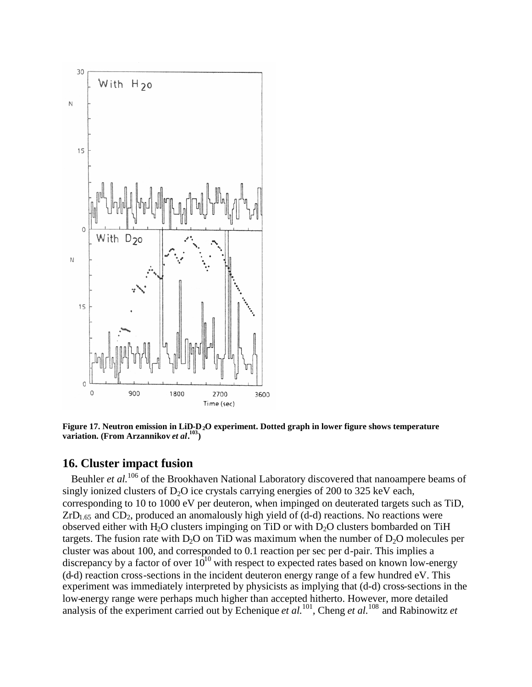

**Figure 17. Neutron emission in LiD-D2O experiment. Dotted graph in lower figure shows temperature variation. (From Arzannikov** *et al***. <sup>103</sup>)**

#### **16. Cluster impact fusion**

Beuhler *et al.*<sup>106</sup> of the Brookhaven National Laboratory discovered that nanoampere beams of singly ionized clusters of  $D_2O$  ice crystals carrying energies of 200 to 325 keV each, corresponding to 10 to 1000 eV per deuteron, when impinged on deuterated targets such as TiD,  $ZrD<sub>1.65</sub>$  and  $CD<sub>2</sub>$ , produced an anomalously high yield of (d-d) reactions. No reactions were observed either with H<sub>2</sub>O clusters impinging on TiD or with  $D_2O$  clusters bombarded on TiH targets. The fusion rate with  $D_2O$  on TiD was maximum when the number of  $D_2O$  molecules per cluster was about 100, and corresponded to 0.1 reaction per sec per d-pair. This implies a discrepancy by a factor of over  $10^{10}$  with respect to expected rates based on known low-energy (d-d) reaction cross-sections in the incident deuteron energy range of a few hundred eV. This experiment was immediately interpreted by physicists as implying that (d-d) cross-sections in the low-energy range were perhaps much higher than accepted hitherto. However, more detailed analysis of the experiment carried out by Echenique *et al.*<sup>101</sup>, Cheng *et al.*<sup>108</sup> and Rabinowitz *et*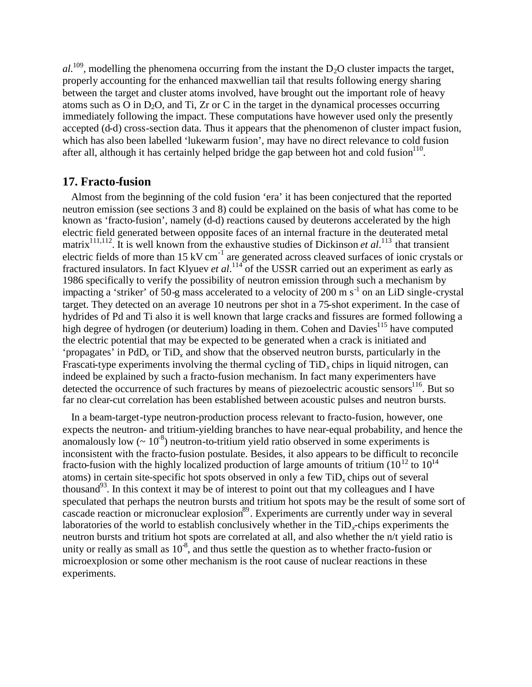$al$ <sup>109</sup>, modelling the phenomena occurring from the instant the  $D_2O$  cluster impacts the target, properly accounting for the enhanced maxwellian tail that results following energy sharing between the target and cluster atoms involved, have brought out the important role of heavy atoms such as O in D<sub>2</sub>O, and Ti, Zr or C in the target in the dynamical processes occurring immediately following the impact. These computations have however used only the presently accepted (d-d) cross-section data. Thus it appears that the phenomenon of cluster impact fusion, which has also been labelled 'lukewarm fusion', may have no direct relevance to cold fusion after all, although it has certainly helped bridge the gap between hot and cold fusion $110$ .

#### **17. Fracto-fusion**

Almost from the beginning of the cold fusion 'era' it has been conjectured that the reported neutron emission (see sections 3 and 8) could be explained on the basis of what has come to be known as 'fracto-fusion', namely (d-d) reactions caused by deuterons accelerated by the high electric field generated between opposite faces of an internal fracture in the deuterated metal matrix<sup>111,112</sup>. It is well known from the exhaustive studies of Dickinson *et al*.<sup>113</sup> that transient electric fields of more than 15 kV cm<sup>-1</sup> are generated across cleaved surfaces of ionic crystals or fractured insulators. In fact Klyuev *et al.*<sup>114</sup> of the USSR carried out an experiment as early as 1986 specifically to verify the possibility of neutron emission through such a mechanism by impacting a 'striker' of 50-g mass accelerated to a velocity of 200 m  $s^{-1}$  on an LiD single-crystal target. They detected on an average 10 neutrons per shot in a 75-shot experiment. In the case of hydrides of Pd and Ti also it is well known that large cracks and fissures are formed following a high degree of hydrogen (or deuterium) loading in them. Cohen and Davies<sup>115</sup> have computed the electric potential that may be expected to be generated when a crack is initiated and 'propagates' in PdD*<sup>x</sup>* or TiD*<sup>x</sup>* and show that the observed neutron bursts, particularly in the Frascati-type experiments involving the thermal cycling of  $\text{TiD}_x$  chips in liquid nitrogen, can indeed be explained by such a fracto-fusion mechanism. In fact many experimenters have detected the occurrence of such fractures by means of piezoelectric acoustic sensors<sup>116</sup>. But so far no clear-cut correlation has been established between acoustic pulses and neutron bursts.

In a beam-target-type neutron-production process relevant to fracto-fusion, however, one expects the neutron- and tritium-yielding branches to have near-equal probability, and hence the anomalously low  $\left(\sim 10^{-8}\right)$  neutron-to-tritium yield ratio observed in some experiments is inconsistent with the fracto-fusion postulate. Besides, it also appears to be difficult to reconcile fracto-fusion with the highly localized production of large amounts of tritium ( $10^{12}$  to  $10^{14}$ ) atoms) in certain site-specific hot spots observed in only a few TiD*<sup>x</sup>* chips out of several thousand<sup>93</sup>. In this context it may be of interest to point out that my colleagues and I have speculated that perhaps the neutron bursts and tritium hot spots may be the result of some sort of cascade reaction or micronuclear explosion $8^9$ . Experiments are currently under way in several laboratories of the world to establish conclusively whether in the TiD<sub>x</sub>-chips experiments the neutron bursts and tritium hot spots are correlated at all, and also whether the n/t yield ratio is unity or really as small as  $10^8$ , and thus settle the question as to whether fracto-fusion or microexplosion or some other mechanism is the root cause of nuclear reactions in these experiments.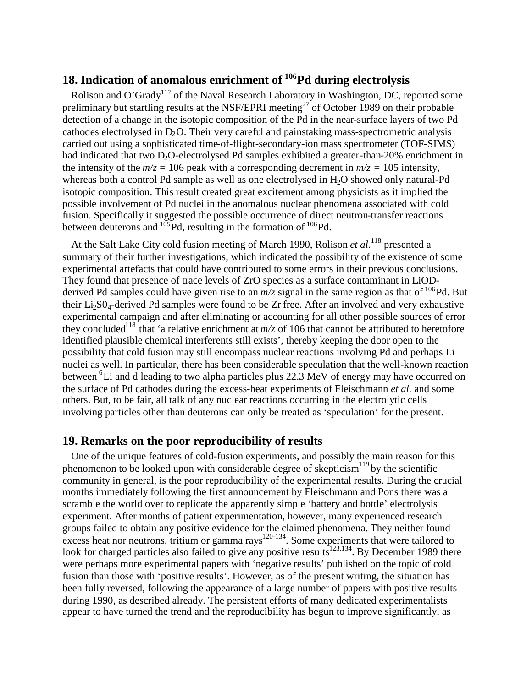# **18. Indication of anomalous enrichment of <sup>106</sup>Pd during electrolysis**

Rolison and O'Grady<sup>117</sup> of the Naval Research Laboratory in Washington, DC, reported some preliminary but startling results at the NSF/EPRI meeting<sup>27</sup> of October 1989 on their probable detection of a change in the isotopic composition of the Pd in the near-surface layers of two Pd cathodes electrolysed in  $D_2O$ . Their very careful and painstaking mass-spectrometric analysis carried out using a sophisticated time-of-flight-secondary-ion mass spectrometer (TOF-SIMS) had indicated that two D<sub>2</sub>O-electrolysed Pd samples exhibited a greater-than-20% enrichment in the intensity of the  $m/z = 106$  peak with a corresponding decrement in  $m/z = 105$  intensity, whereas both a control Pd sample as well as one electrolysed in H<sub>2</sub>O showed only natural-Pd isotopic composition. This result created great excitement among physicists as it implied the possible involvement of Pd nuclei in the anomalous nuclear phenomena associated with cold fusion. Specifically it suggested the possible occurrence of direct neutron-transfer reactions between deuterons and  $^{105}$ Pd, resulting in the formation of  $^{106}$ Pd.

At the Salt Lake City cold fusion meeting of March 1990, Rolison *et al*.<sup>118</sup> presented a summary of their further investigations, which indicated the possibility of the existence of some experimental artefacts that could have contributed to some errors in their previous conclusions. They found that presence of trace levels of ZrO species as a surface contaminant in LiODderived Pd samples could have given rise to an  $m/z$  signal in the same region as that of <sup>106</sup>Pd. But their  $Li_2SO_4$ -derived Pd samples were found to be Zr free. After an involved and very exhaustive experimental campaign and after eliminating or accounting for all other possible sources of error they concluded<sup>118</sup> that 'a relative enrichment at  $m/z$  of 106 that cannot be attributed to heretofore identified plausible chemical interferents still exists', thereby keeping the door open to the possibility that cold fusion may still encompass nuclear reactions involving Pd and perhaps Li nuclei as well. In particular, there has been considerable speculation that the well-known reaction between <sup>6</sup>Li and d leading to two alpha particles plus 22.3 MeV of energy may have occurred on the surface of Pd cathodes during the excess-heat experiments of Fleischmann *et al.* and some others. But, to be fair, all talk of any nuclear reactions occurring in the electrolytic cells involving particles other than deuterons can only be treated as 'speculation' for the present.

#### **19. Remarks on the poor reproducibility of results**

One of the unique features of cold-fusion experiments, and possibly the main reason for this phenomenon to be looked upon with considerable degree of skepticism<sup>119</sup> by the scientific community in general, is the poor reproducibility of the experimental results. During the crucial months immediately following the first announcement by Fleischmann and Pons there was a scramble the world over to replicate the apparently simple 'battery and bottle' electrolysis experiment. After months of patient experimentation, however, many experienced research groups failed to obtain any positive evidence for the claimed phenomena. They neither found excess heat nor neutrons, tritium or gamma rays<sup>120-134</sup>. Some experiments that were tailored to look for charged particles also failed to give any positive results<sup>123,134</sup>. By December 1989 there were perhaps more experimental papers with 'negative results' published on the topic of cold fusion than those with 'positive results'. However, as of the present writing, the situation has been fully reversed, following the appearance of a large number of papers with positive results during 1990, as described already. The persistent efforts of many dedicated experimentalists appear to have turned the trend and the reproducibility has begun to improve significantly, as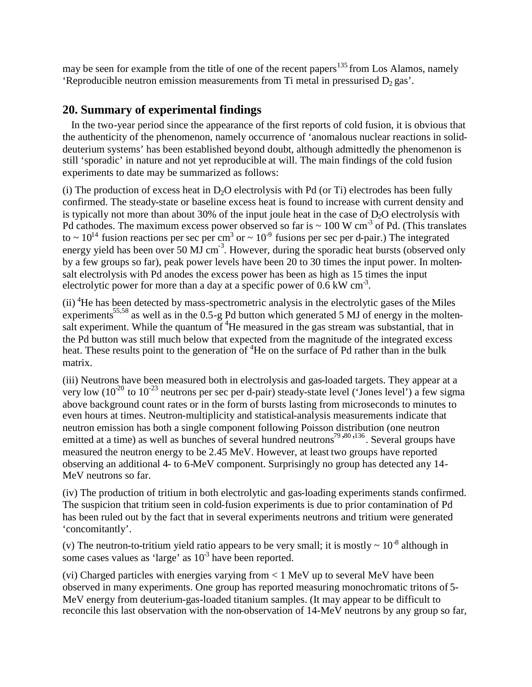may be seen for example from the title of one of the recent papers<sup>135</sup> from Los Alamos, namely 'Reproducible neutron emission measurements from Ti metal in pressurised  $D_2$  gas'.

# **20. Summary of experimental findings**

In the two-year period since the appearance of the first reports of cold fusion, it is obvious that the authenticity of the phenomenon, namely occurrence of 'anomalous nuclear reactions in soliddeuterium systems' has been established beyond doubt, although admittedly the phenomenon is still 'sporadic' in nature and not yet reproducible at will. The main findings of the cold fusion experiments to date may be summarized as follows:

(i) The production of excess heat in  $D_2O$  electrolysis with Pd (or Ti) electrodes has been fully confirmed. The steady-state or baseline excess heat is found to increase with current density and is typically not more than about 30% of the input joule heat in the case of  $D_2O$  electrolysis with Pd cathodes. The maximum excess power observed so far is  $\sim 100 \text{ W cm}^3$  of Pd. (This translates to  $\sim 10^{14}$  fusion reactions per sec per cm<sup>3</sup> or  $\sim 10^{-9}$  fusions per sec per d-pair.) The integrated energy yield has been over 50 MJ cm<sup>-3</sup>. However, during the sporadic heat bursts (observed only by a few groups so far), peak power levels have been 20 to 30 times the input power. In moltensalt electrolysis with Pd anodes the excess power has been as high as 15 times the input electrolytic power for more than a day at a specific power of  $0.6 \text{ kW cm}^3$ .

(ii) <sup>4</sup>He has been detected by mass-spectrometric analysis in the electrolytic gases of the Miles experiments<sup>55,58</sup> as well as in the  $0.5-g$  Pd button which generated 5 MJ of energy in the moltensalt experiment. While the quantum of  ${}^{4}$ He measured in the gas stream was substantial, that in the Pd button was still much below that expected from the magnitude of the integrated excess heat. These results point to the generation of <sup>4</sup>He on the surface of Pd rather than in the bulk matrix.

(iii) Neutrons have been measured both in electrolysis and gas-loaded targets. They appear at a very low  $(10^{20}$  to  $10^{-23}$  neutrons per sec per d-pair) steady-state level ('Jones level') a few sigma above background count rates or in the form of bursts lasting from microseconds to minutes to even hours at times. Neutron-multiplicity and statistical-analysis measurements indicate that neutron emission has both a single component following Poisson distribution (one neutron emitted at a time) as well as bunches of several hundred neutrons<sup>79,80,136</sup>. Several groups have measured the neutron energy to be 2.45 MeV. However, at least two groups have reported observing an additional 4- to 6-MeV component. Surprisingly no group has detected any 14- MeV neutrons so far.

(iv) The production of tritium in both electrolytic and gas-loading experiments stands confirmed. The suspicion that tritium seen in cold-fusion experiments is due to prior contamination of Pd has been ruled out by the fact that in several experiments neutrons and tritium were generated 'concomitantly'.

(v) The neutron-to-tritium yield ratio appears to be very small; it is mostly  $\sim 10^{-8}$  although in some cases values as 'large' as  $10<sup>3</sup>$  have been reported.

(vi) Charged particles with energies varying from < 1 MeV up to several MeV have been observed in many experiments. One group has reported measuring monochromatic tritons of 5- MeV energy from deuterium-gas-loaded titanium samples. (It may appear to be difficult to reconcile this last observation with the non-observation of 14-MeV neutrons by any group so far,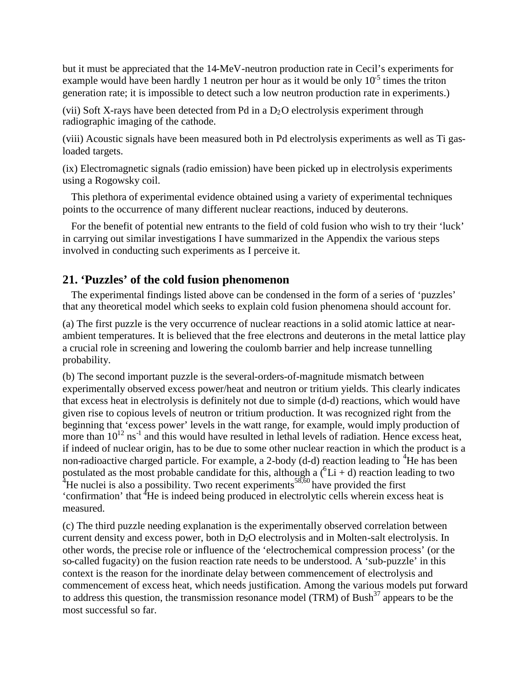but it must be appreciated that the 14-MeV-neutron production rate in Cecil's experiments for example would have been hardly 1 neutron per hour as it would be only  $10^{-5}$  times the triton generation rate; it is impossible to detect such a low neutron production rate in experiments.)

(vii) Soft X-rays have been detected from Pd in a  $D_2O$  electrolysis experiment through radiographic imaging of the cathode.

(viii) Acoustic signals have been measured both in Pd electrolysis experiments as well as Ti gasloaded targets.

(ix) Electromagnetic signals (radio emission) have been picked up in electrolysis experiments using a Rogowsky coil.

This plethora of experimental evidence obtained using a variety of experimental techniques points to the occurrence of many different nuclear reactions, induced by deuterons.

For the benefit of potential new entrants to the field of cold fusion who wish to try their 'luck' in carrying out similar investigations I have summarized in the Appendix the various steps involved in conducting such experiments as I perceive it.

# **21. 'Puzzles' of the cold fusion phenomenon**

The experimental findings listed above can be condensed in the form of a series of 'puzzles' that any theoretical model which seeks to explain cold fusion phenomena should account for.

(a) The first puzzle is the very occurrence of nuclear reactions in a solid atomic lattice at nearambient temperatures. It is believed that the free electrons and deuterons in the metal lattice play a crucial role in screening and lowering the coulomb barrier and help increase tunnelling probability.

(b) The second important puzzle is the several-orders-of-magnitude mismatch between experimentally observed excess power/heat and neutron or tritium yields. This clearly indicates that excess heat in electrolysis is definitely not due to simple (d-d) reactions, which would have given rise to copious levels of neutron or tritium production. It was recognized right from the beginning that 'excess power' levels in the watt range, for example, would imply production of more than  $10^{12}$  ns<sup>-1</sup> and this would have resulted in lethal levels of radiation. Hence excess heat, if indeed of nuclear origin, has to be due to some other nuclear reaction in which the product is a non-radioactive charged particle. For example, a 2-body (d-d) reaction leading to  ${}^{4}$ He has been postulated as the most probable candidate for this, although a  $({}^{6}Li + d)$  reaction leading to two <sup>4</sup>He nuclei is also a possibility. Two recent experiments<sup>58,60</sup> have provided the first 'confirmation' that <sup>4</sup>He is indeed being produced in electrolytic cells wherein excess heat is measured.

(c) The third puzzle needing explanation is the experimentally observed correlation between current density and excess power, both in D<sub>2</sub>O electrolysis and in Molten-salt electrolysis. In other words, the precise role or influence of the 'electrochemical compression process' (or the so-called fugacity) on the fusion reaction rate needs to be understood. A 'sub-puzzle' in this context is the reason for the inordinate delay between commencement of electrolysis and commencement of excess heat, which needs justification. Among the various models put forward to address this question, the transmission resonance model (TRM) of Bush<sup>37</sup> appears to be the most successful so far.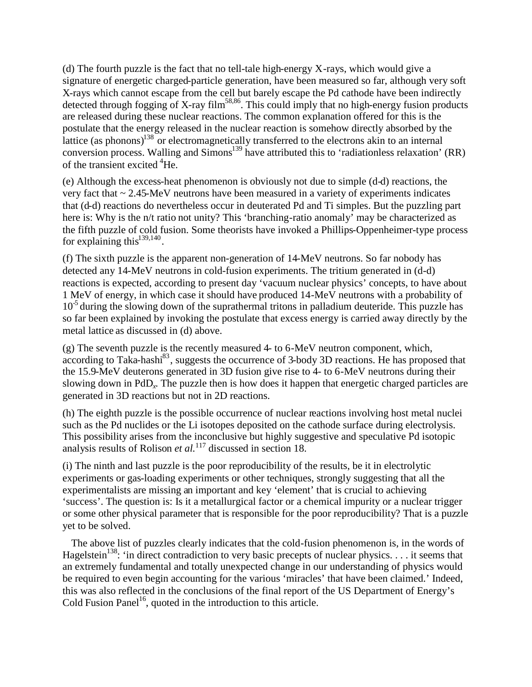(d) The fourth puzzle is the fact that no tell-tale high-energy X-rays, which would give a signature of energetic charged-particle generation, have been measured so far, although very soft X-rays which cannot escape from the cell but barely escape the Pd cathode have been indirectly detected through fogging of X-ray film<sup>58,86</sup>. This could imply that no high-energy fusion products are released during these nuclear reactions. The common explanation offered for this is the postulate that the energy released in the nuclear reaction is somehow directly absorbed by the lattice (as phonons)<sup>138</sup> or electromagnetically transferred to the electrons akin to an internal conversion process. Walling and Simons<sup>139</sup> have attributed this to 'radiationless relaxation' (RR) of the transient excited <sup>4</sup>He.

(e) Although the excess-heat phenomenon is obviously not due to simple (d-d) reactions, the very fact that ~ 2.45-MeV neutrons have been measured in a variety of experiments indicates that (d-d) reactions do nevertheless occur in deuterated Pd and Ti simples. But the puzzling part here is: Why is the n/t ratio not unity? This 'branching-ratio anomaly' may be characterized as the fifth puzzle of cold fusion. Some theorists have invoked a Phillips-Oppenheimer-type process for explaining this $^{139,140}$ .

(f) The sixth puzzle is the apparent non-generation of 14-MeV neutrons. So far nobody has detected any 14-MeV neutrons in cold-fusion experiments. The tritium generated in (d-d) reactions is expected, according to present day 'vacuum nuclear physics' concepts, to have about 1 MeV of energy, in which case it should have produced 14-MeV neutrons with a probability of 10<sup>-5</sup> during the slowing down of the suprathermal tritons in palladium deuteride. This puzzle has so far been explained by invoking the postulate that excess energy is carried away directly by the metal lattice as discussed in (d) above.

(g) The seventh puzzle is the recently measured 4- to 6-MeV neutron component, which, according to Taka-hashi<sup>83</sup>, suggests the occurrence of 3-body 3D reactions. He has proposed that the 15.9-MeV deuterons generated in 3D fusion give rise to 4- to 6-MeV neutrons during their slowing down in PdD*<sup>x</sup>* . The puzzle then is how does it happen that energetic charged particles are generated in 3D reactions but not in 2D reactions.

(h) The eighth puzzle is the possible occurrence of nuclear reactions involving host metal nuclei such as the Pd nuclides or the Li isotopes deposited on the cathode surface during electrolysis. This possibility arises from the inconclusive but highly suggestive and speculative Pd isotopic analysis results of Rolison *et al.*<sup>117</sup> discussed in section 18.

(i) The ninth and last puzzle is the poor reproducibility of the results, be it in electrolytic experiments or gas-loading experiments or other techniques, strongly suggesting that all the experimentalists are missing an important and key 'element' that is crucial to achieving 'success'. The question is: Is it a metallurgical factor or a chemical impurity or a nuclear trigger or some other physical parameter that is responsible for the poor reproducibility? That is a puzzle yet to be solved.

The above list of puzzles clearly indicates that the cold-fusion phenomenon is, in the words of Hagelstein<sup>138</sup>: 'in direct contradiction to very basic precepts of nuclear physics.... it seems that an extremely fundamental and totally unexpected change in our understanding of physics would be required to even begin accounting for the various 'miracles' that have been claimed.' Indeed, this was also reflected in the conclusions of the final report of the US Department of Energy's Cold Fusion Panel<sup>16</sup>, quoted in the introduction to this article.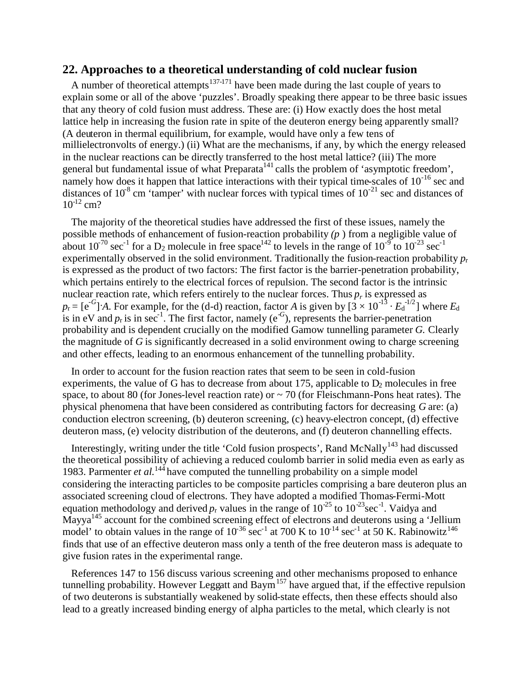#### **22. Approaches to a theoretical understanding of cold nuclear fusion**

A number of theoretical attempts<sup>137-171</sup> have been made during the last couple of years to explain some or all of the above 'puzzles'. Broadly speaking there appear to be three basic issues that any theory of cold fusion must address. These are: (i) How exactly does the host metal lattice help in increasing the fusion rate in spite of the deuteron energy being apparently small? (A deuteron in thermal equilibrium, for example, would have only a few tens of millielectronvolts of energy.) (ii) What are the mechanisms, if any, by which the energy released in the nuclear reactions can be directly transferred to the host metal lattice? (iii) The more general but fundamental issue of what  $Preparata<sup>141</sup>$  calls the problem of 'asymptotic freedom', namely how does it happen that lattice interactions with their typical time-scales of  $10^{-16}$  sec and distances of  $10^{-8}$  cm 'tamper' with nuclear forces with typical times of  $10^{-21}$  sec and distances of  $10^{-12}$  cm?

The majority of the theoretical studies have addressed the first of these issues, namely the possible methods of enhancement of fusion-reaction probability *(p* ) from a negligible value of about 10<sup>70</sup> sec<sup>-1</sup> for a D<sub>2</sub> molecule in free space<sup>142</sup> to levels in the range of  $10^{-9}$  to  $10^{-23}$  sec<sup>-1</sup> experimentally observed in the solid environment. Traditionally the fusion-reaction probability *p*<sup>r</sup> is expressed as the product of two factors: The first factor is the barrier-penetration probability, which pertains entirely to the electrical forces of repulsion. The second factor is the intrinsic nuclear reaction rate, which refers entirely to the nuclear forces. Thus  $p_r$  is expressed as  $p_r = [e^{-G}]$  *A*. For example, for the (d-d) reaction, factor *A* is given by  $[3 \times 10^{-13} \cdot E_d^{-1/2}]$  where  $E_d$ is in eV and  $p_r$  is in sec<sup>-1</sup>. The first factor, namely (e<sup>-G</sup>), represents the barrier-penetration probability and is dependent crucially on the modified Gamow tunnelling parameter *G.* Clearly the magnitude of *G* is significantly decreased in a solid environment owing to charge screening and other effects, leading to an enormous enhancement of the tunnelling probability.

In order to account for the fusion reaction rates that seem to be seen in cold-fusion experiments, the value of G has to decrease from about 175, applicable to  $D_2$  molecules in free space, to about 80 (for Jones-level reaction rate) or  $\sim$  70 (for Fleischmann-Pons heat rates). The physical phenomena that have been considered as contributing factors for decreasing *G* are: (a) conduction electron screening, (b) deuteron screening, (c) heavy-electron concept, (d) effective deuteron mass, (e) velocity distribution of the deuterons, and (f) deuteron channelling effects.

Interestingly, writing under the title 'Cold fusion prospects', Rand McNally<sup>143</sup> had discussed the theoretical possibility of achieving a reduced coulomb barrier in solid media even as early as 1983. Parmenter *et al.*<sup>144</sup> have computed the tunnelling probability on a simple model considering the interacting particles to be composite particles comprising a bare deuteron plus an associated screening cloud of electrons. They have adopted a modified Thomas-Fermi-Mott equation methodology and derived  $p_r$  values in the range of  $10^{-25}$  to  $10^{-23}$  sec<sup>-1</sup>. Vaidya and Mayya<sup>145</sup> account for the combined screening effect of electrons and deuterons using a 'Jellium model' to obtain values in the range of  $10^{-36}$  sec<sup>-1</sup> at 700 K to  $10^{-14}$  sec<sup>-1</sup> at 50 K. Rabinowitz<sup>146</sup> finds that use of an effective deuteron mass only a tenth of the free deuteron mass is adequate to give fusion rates in the experimental range.

References 147 to 156 discuss various screening and other mechanisms proposed to enhance tunnelling probability. However Leggatt and Baym<sup>157</sup> have argued that, if the effective repulsion of two deuterons is substantially weakened by solid-state effects, then these effects should also lead to a greatly increased binding energy of alpha particles to the metal, which clearly is not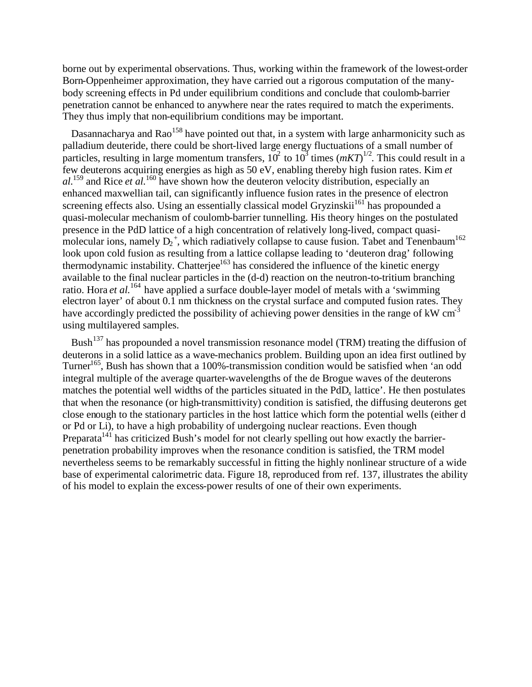borne out by experimental observations. Thus, working within the framework of the lowest-order Born-Oppenheimer approximation, they have carried out a rigorous computation of the manybody screening effects in Pd under equilibrium conditions and conclude that coulomb-barrier penetration cannot be enhanced to anywhere near the rates required to match the experiments. They thus imply that non-equilibrium conditions may be important.

Dasannacharya and Rao<sup>158</sup> have pointed out that, in a system with large anharmonicity such as palladium deuteride, there could be short-lived large energy fluctuations of a small number of particles, resulting in large momentum transfers,  $10^2$  to  $10^3$  times  $(mKT)^{1/2}$ . This could result in a few deuterons acquiring energies as high as 50 eV, enabling thereby high fusion rates. Kim *et al.*<sup>159</sup> and Rice *et al.*<sup>160</sup> have shown how the deuteron velocity distribution, especially an enhanced maxwellian tail, can significantly influence fusion rates in the presence of electron screening effects also. Using an essentially classical model Gryzinskii<sup>161</sup> has propounded a quasi-molecular mechanism of coulomb-barrier tunnelling. His theory hinges on the postulated presence in the PdD lattice of a high concentration of relatively long-lived, compact quasimolecular ions, namely  $D_2^+$ , which radiatively collapse to cause fusion. Tabet and Tenenbaum<sup>162</sup> look upon cold fusion as resulting from a lattice collapse leading to 'deuteron drag' following thermodynamic instability. Chatterjee<sup>163</sup> has considered the influence of the kinetic energy available to the final nuclear particles in the (d-d) reaction on the neutron-to-tritium branching ratio. Hora *et al.*<sup>164</sup> have applied a surface double-layer model of metals with a 'swimming electron layer' of about 0.1 nm thickness on the crystal surface and computed fusion rates. They have accordingly predicted the possibility of achieving power densities in the range of  $kW \text{ cm}^{-3}$ using multilayered samples.

Bush<sup>137</sup> has propounded a novel transmission resonance model (TRM) treating the diffusion of deuterons in a solid lattice as a wave-mechanics problem. Building upon an idea first outlined by Turner<sup>165</sup>, Bush has shown that a 100%-transmission condition would be satisfied when 'an odd integral multiple of the average quarter-wavelengths of the de Brogue waves of the deuterons matches the potential well widths of the particles situated in the PdD*<sup>x</sup>* lattice'. He then postulates that when the resonance (or high-transmittivity) condition is satisfied, the diffusing deuterons get close enough to the stationary particles in the host lattice which form the potential wells (either d or Pd or Li), to have a high probability of undergoing nuclear reactions. Even though Preparata<sup>141</sup> has criticized Bush's model for not clearly spelling out how exactly the barrierpenetration probability improves when the resonance condition is satisfied, the TRM model nevertheless seems to be remarkably successful in fitting the highly nonlinear structure of a wide base of experimental calorimetric data. Figure 18, reproduced from ref. 137, illustrates the ability of his model to explain the excess-power results of one of their own experiments.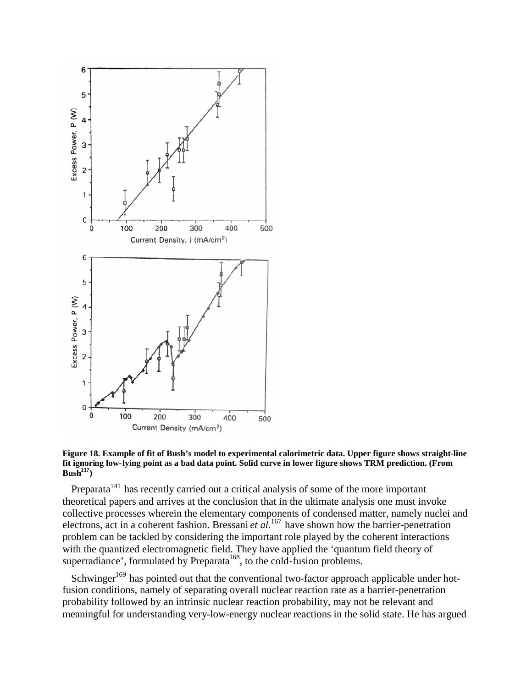

**Figure 18. Example of fit of Bush's model to experimental calorimetric data. Upper figure shows straight-line fit ignoring low-lying point as a bad data point. Solid curve in lower figure shows TRM prediction. (From Bush<sup>137</sup>)**

Preparata<sup> $141$ </sup> has recently carried out a critical analysis of some of the more important theoretical papers and arrives at the conclusion that in the ultimate analysis one must invoke collective processes wherein the elementary components of condensed matter, namely nuclei and electrons, act in a coherent fashion. Bressani *et al.*<sup>167</sup> have shown how the barrier-penetration problem can be tackled by considering the important role played by the coherent interactions with the quantized electromagnetic field. They have applied the 'quantum field theory of superradiance', formulated by Preparata<sup>168</sup>, to the cold-fusion problems.

Schwinger<sup>169</sup> has pointed out that the conventional two-factor approach applicable under hotfusion conditions, namely of separating overall nuclear reaction rate as a barrier-penetration probability followed by an intrinsic nuclear reaction probability, may not be relevant and meaningful for understanding very-low-energy nuclear reactions in the solid state. He has argued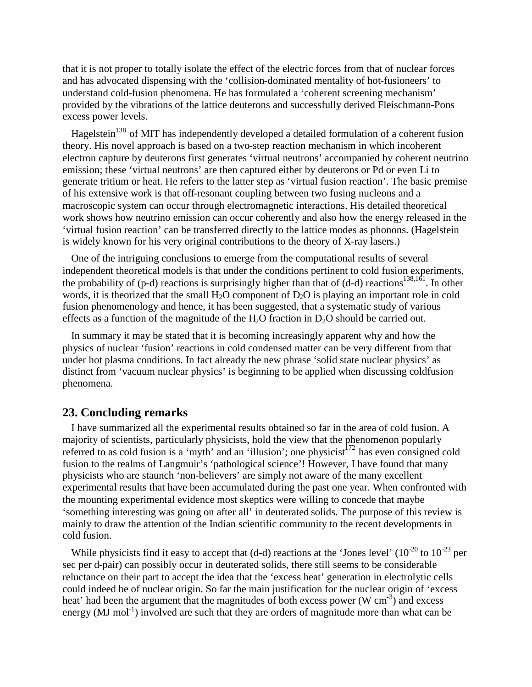that it is not proper to totally isolate the effect of the electric forces from that of nuclear forces and has advocated dispensing with the 'collision-dominated mentality of hot-fusioneers' to understand cold-fusion phenomena. He has formulated a 'coherent screening mechanism' provided by the vibrations of the lattice deuterons and successfully derived Fleischmann-Pons excess power levels.

Hagelstein<sup>138</sup> of MIT has independently developed a detailed formulation of a coherent fusion theory. His novel approach is based on a two-step reaction mechanism in which incoherent electron capture by deuterons first generates 'virtual neutrons' accompanied by coherent neutrino emission; these 'virtual neutrons' are then captured either by deuterons or Pd or even Li to generate tritium or heat. He refers to the latter step as 'virtual fusion reaction'. The basic premise of his extensive work is that off-resonant coupling between two fusing nucleons and a macroscopic system can occur through electromagnetic interactions. His detailed theoretical work shows how neutrino emission can occur coherently and also how the energy released in the 'virtual fusion reaction' can be transferred directly to the lattice modes as phonons. (Hagelstein is widely known for his very original contributions to the theory of X-ray lasers.)

One of the intriguing conclusions to emerge from the computational results of several independent theoretical models is that under the conditions pertinent to cold fusion experiments, the probability of  $(p-d)$  reactions is surprisingly higher than that of  $(d-d)$  reactions<sup>138,161</sup>. In other words, it is theorized that the small  $H_2O$  component of  $D_2O$  is playing an important role in cold fusion phenomenology and hence, it has been suggested, that a systematic study of various effects as a function of the magnitude of the H<sub>2</sub>O fraction in  $D_2O$  should be carried out.

In summary it may be stated that it is becoming increasingly apparent why and how the physics of nuclear 'fusion' reactions in cold condensed matter can be very different from that under hot plasma conditions. In fact already the new phrase 'solid state nuclear physics' as distinct from 'vacuum nuclear physics' is beginning to be applied when discussing coldfusion phenomena.

#### **23. Concluding remarks**

I have summarized all the experimental results obtained so far in the area of cold fusion. A majority of scientists, particularly physicists, hold the view that the phenomenon popularly referred to as cold fusion is a 'myth' and an 'illusion'; one physicist<sup>172</sup> has even consigned cold fusion to the realms of Langmuir's 'pathological science'! However, I have found that many physicists who are staunch 'non-believers' are simply not aware of the many excellent experimental results that have been accumulated during the past one year. When confronted with the mounting experimental evidence most skeptics were willing to concede that maybe 'something interesting was going on after all' in deuterated solids. The purpose of this review is mainly to draw the attention of the Indian scientific community to the recent developments in cold fusion.

While physicists find it easy to accept that (d-d) reactions at the 'Jones level'  $(10^{-20}$  to  $10^{-23}$  per sec per d-pair) can possibly occur in deuterated solids, there still seems to be considerable reluctance on their part to accept the idea that the 'excess heat' generation in electrolytic cells could indeed be of nuclear origin. So far the main justification for the nuclear origin of 'excess heat' had been the argument that the magnitudes of both excess power (W  $\text{cm}^{-3}$ ) and excess energy (MJ mol<sup>-1</sup>) involved are such that they are orders of magnitude more than what can be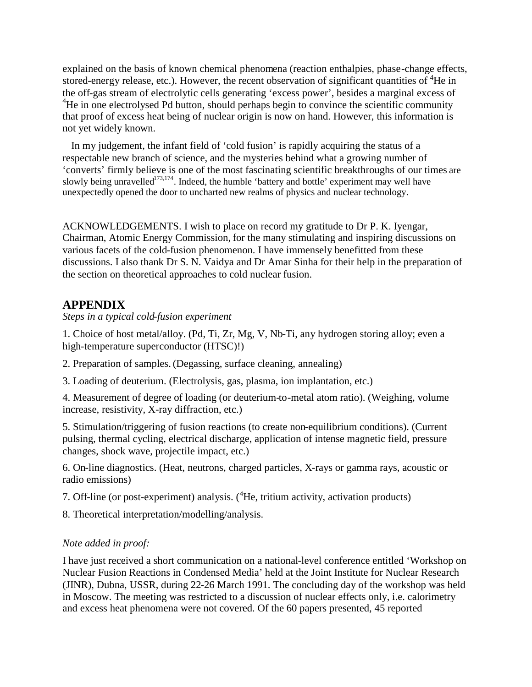explained on the basis of known chemical phenomena (reaction enthalpies, phase-change effects, stored-energy release, etc.). However, the recent observation of significant quantities of <sup>4</sup>He in the off-gas stream of electrolytic cells generating 'excess power', besides a marginal excess of <sup>4</sup>He in one electrolysed Pd button, should perhaps begin to convince the scientific community that proof of excess heat being of nuclear origin is now on hand. However, this information is not yet widely known.

In my judgement, the infant field of 'cold fusion' is rapidly acquiring the status of a respectable new branch of science, and the mysteries behind what a growing number of 'converts' firmly believe is one of the most fascinating scientific breakthroughs of our times are slowly being unravelled<sup>173,174</sup>. Indeed, the humble 'battery and bottle' experiment may well have unexpectedly opened the door to uncharted new realms of physics and nuclear technology.

ACKNOWLEDGEMENTS. I wish to place on record my gratitude to Dr P. K. Iyengar, Chairman, Atomic Energy Commission, for the many stimulating and inspiring discussions on various facets of the cold-fusion phenomenon. I have immensely benefitted from these discussions. I also thank Dr S. N. Vaidya and Dr Amar Sinha for their help in the preparation of the section on theoretical approaches to cold nuclear fusion.

# **APPENDIX**

*Steps in a typical cold-fusion experiment*

1. Choice of host metal/alloy. (Pd, Ti, Zr, Mg, V, Nb-Ti, any hydrogen storing alloy; even a high-temperature superconductor (HTSC)!)

2. Preparation of samples. (Degassing, surface cleaning, annealing)

3. Loading of deuterium. (Electrolysis, gas, plasma, ion implantation, etc.)

4. Measurement of degree of loading (or deuterium-to-metal atom ratio). (Weighing, volume increase, resistivity, X-ray diffraction, etc.)

5. Stimulation/triggering of fusion reactions (to create non-equilibrium conditions). (Current pulsing, thermal cycling, electrical discharge, application of intense magnetic field, pressure changes, shock wave, projectile impact, etc.)

6. On-line diagnostics. (Heat, neutrons, charged particles, X-rays or gamma rays, acoustic or radio emissions)

7. Off-line (or post-experiment) analysis. (<sup>4</sup>He, tritium activity, activation products)

8. Theoretical interpretation/modelling/analysis.

#### *Note added in proof:*

I have just received a short communication on a national-level conference entitled 'Workshop on Nuclear Fusion Reactions in Condensed Media' held at the Joint Institute for Nuclear Research (JINR), Dubna, USSR, during 22-26 March 1991. The concluding day of the workshop was held in Moscow. The meeting was restricted to a discussion of nuclear effects only, i.e. calorimetry and excess heat phenomena were not covered. Of the 60 papers presented, 45 reported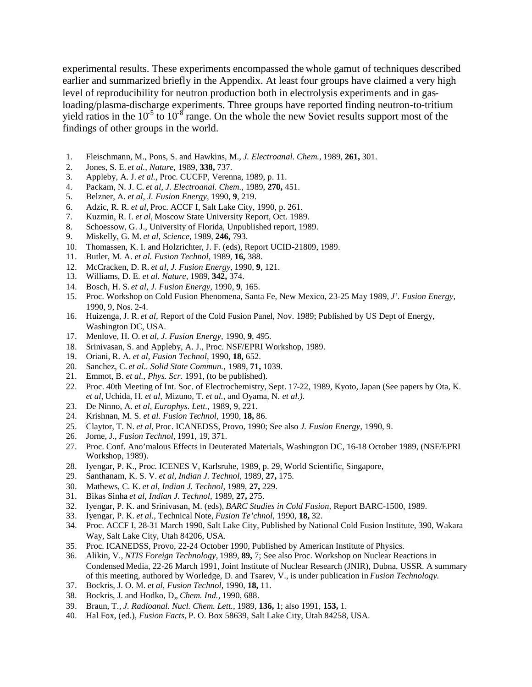experimental results. These experiments encompassed the whole gamut of techniques described earlier and summarized briefly in the Appendix. At least four groups have claimed a very high level of reproducibility for neutron production both in electrolysis experiments and in gasloading/plasma-discharge experiments. Three groups have reported finding neutron-to-tritium yield ratios in the  $10^{-5}$  to  $10^{-8}$  range. On the whole the new Soviet results support most of the findings of other groups in the world.

- 1. Fleischmann, M., Pons, S. and Hawkins, M., *J. Electroanal. Chem.,* 1989, **261,** 301.
- 2. Jones, S. E. *et al., Nature,* 1989, **338,** 737.
- 3. Appleby, A. J. *et al.,* Proc. CUCFP, Verenna, 1989, p. 11.
- 4. Packam, N. J. C. *et al, J. Electroanal. Chem.,* 1989, **270,** 451.
- 5. Belzner, A. *et al, J. Fusion Energy,* 1990, **9**, 219.
- 6. Adzic, R. R. *et al,* Proc. ACCF I, Salt Lake City, 1990, p. 261.
- 7. Kuzmin, R. I. *et al,* Moscow State University Report, Oct. 1989.
- 8. Schoessow, G. J., University of Florida, Unpublished report, 1989.
- 9. Miskelly, G. M. *et al, Science,* 1989, **246,** 793.
- 10. Thomassen, K. I. and Holzrichter, J. F. (eds), Report UCID-21809, 1989.
- 11. Butler, M. A. *et al. Fusion Technol,* 1989, **16,** 388.
- 12. McCracken, D. R. *et al, J. Fusion Energy,* 1990, **9**, 121.
- 13. Williams, D. E. *et al. Nature,* 1989, **342,** 374.
- 14. Bosch, H. S. *et al, J. Fusion Energy,* 1990, **9**, 165.
- 15. Proc. Workshop on Cold Fusion Phenomena, Santa Fe, New Mexico, 23-25 May 1989, *J'. Fusion Energy,* 1990, 9, Nos. 2-4.
- 16. Huizenga, J. R. *et al,* Report of the Cold Fusion Panel, Nov. 1989; Published by US Dept of Energy, Washington DC, USA.
- 17. Menlove, H. O. *et al, J. Fusion Energy,* 1990, **9**, 495.
- 18. Srinivasan, S. and Appleby, A. J., Proc. NSF/EPRI Workshop, 1989.
- 19. Oriani, R. A. *et al, Fusion Technol,* 1990, **18,** 652.
- 20. Sanchez, C. *et al.. Solid State Commun.,* 1989, **71,** 1039.
- 21. Emmot, B. *et al., Phys. Scr.* 1991, (to be published).
- 22. Proc. 40th Meeting of Int. Soc. of Electrochemistry, Sept. 17-22, 1989, Kyoto, Japan (See papers by Ota, K. *et al,* Uchida, H. *et al,* Mizuno, T. *et al.,* and Oyama, N. *et al.).*
- 23. De Ninno, A. *et al, Europhys. Lett.,* 1989, 9, 221.
- 24. Krishnan, M. S. *et al. Fusion Technol,* 1990, **18,** 86.
- 25. Claytor, T. N. *et al,* Proc. ICANEDSS, Provo, 1990; See also *J. Fusion Energy,* 1990, 9.
- 26. Jorne, J., *Fusion Technol,* 1991, 19, 371.
- 27. Proc. Conf. Ano'malous Effects in Deuterated Materials, Washington DC, 16-18 October 1989, (NSF/EPRI Workshop, 1989).
- 28. Iyengar, P. K., Proc. ICENES V, Karlsruhe, 1989, p. 29, World Scientific, Singapore,
- 29. Santhanam, K. S. V. *et al, Indian J. Technol,* 1989, **27,** 175.
- 30. Mathews, C. K. *et al, Indian J. Technol,* 1989, **27,** 229.
- 31. Bikas Sinha *et al, Indian J. Technol,* 1989, **27,** 275.
- 32. Iyengar, P. K. and Srinivasan, M. (eds), *BARC Studies in Cold Fusion,* Report BARC-1500, 1989.
- 33. Iyengar, P. K. *et al.,* Technical Note, *Fusion Te'chnol,* 1990, **18,** 32.
- 34. Proc. ACCF I, 28-31 March 1990, Salt Lake City, Published by National Cold Fusion Institute, 390, Wakara Way, Salt Lake City, Utah 84206, USA.
- 35. Proc. ICANEDSS, Provo, 22-24 October 1990, Published by American Institute of Physics.
- 36. Alikin, V., *NTIS Foreign Technology,* 1989, **89,** 7; See also Proc. Workshop on Nuclear Reactions in Condensed Media, 22-26 March 1991, Joint Institute of Nuclear Research (JNIR), Dubna, USSR. A summary of this meeting, authored by Worledge, D. and Tsarev, V., is under publication in *Fusion Technology.*
- 37. Bockris, J. O. M. *et al, Fusion Technol,* 1990, **18,** 11.
- 38. Bockris, J. and Hodko, D" *Chem. Ind.,* 1990, 688.
- 39. Braun, T., *J. Radioanal. Nucl. Chem. Lett.,* 1989, **136,** 1; also 1991, **153,** 1.
- 40. Hal Fox, (ed.), *Fusion Facts,* P. O. Box 58639, Salt Lake City, Utah 84258, USA.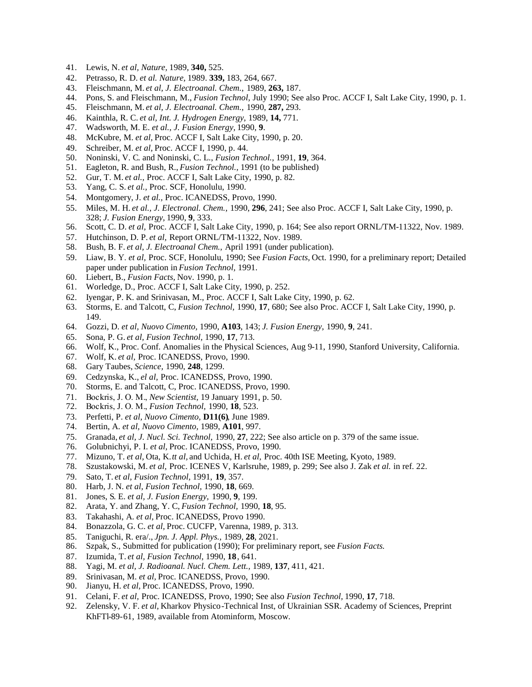- 41. Lewis, N. *et al, Nature,* 1989, **340,** 525.
- 42. Petrasso, R. D. *et al. Nature,* 1989. **339,** 183, 264, 667.
- 43. Fleischmann, M. *et al, J. Electroanal. Chem.,* 1989, **263,** 187.
- 44. Pons, S. and Fleischmann, M., *Fusion Technol,* July 1990; See also Proc. ACCF I, Salt Lake City, 1990, p. 1.
- 45. Fleischmann, M. *et al, J. Electroanal. Chem.,* 1990, **287,** 293.
- 46. Kainthla, R. C. *et al, Int. J. Hydrogen Energy,* 1989, **14,** 771.
- 47. Wadsworth, M. E. *et al., J. Fusion Energy,* 1990, **9**.
- 48. McKubre, M. *et al,* Proc. ACCF I, Salt Lake City, 1990, p. 20.
- 49. Schreiber, M. *et al,* Proc. ACCF I, 1990, p. 44.
- 50. Noninski, V. C. and Noninski, C. L., *Fusion Technol.,* 1991, **19**, 364.
- 51. Eagleton, R. and Bush, R., *Fusion Technol.,* 1991 (to be published)
- 52. Gur, T. M. *et al.,* Proc. ACCF I, Salt Lake City, 1990, p. 82.
- 53. Yang, C. S. *et al.,* Proc. SCF, Honolulu, 1990.
- 54. Montgomery, J. *et al.,* Proc. ICANEDSS, Provo, 1990.
- 55. Miles, M. H. *et al., J. Electronal. Chem.,* 1990, **296**, 241; See also Proc. ACCF I, Salt Lake City, 1990, p. 328; *J. Fusion Energy,* 1990, **9**, 333.
- 56. Scott, C. D. *et al,* Proc. ACCF I, Salt Lake City, 1990, p. 164; See also report ORNL/TM-11322, Nov. 1989.
- 57. Hutchinson, D. P. *et al,* Report ORNL/TM-11322, Nov. 1989.
- 58. Bush, B. F. *et al, J. Electroanal Chem.,* April 1991 (under publication).
- 59. Liaw, Β. Υ. *et al,* Proc. SCF, Honolulu, 1990; See *Fusion Facts,* Oct. 1990, for a preliminary report; Detailed paper under publication in *Fusion Technol,* 1991.
- 60. Liebert, B., *Fusion Facts,* Nov. 1990, p. 1.
- 61. Worledge, D., Proc. ACCF I, Salt Lake City, 1990, p. 252.
- 62. Iyengar, P. K. and Srinivasan, M., Proc. ACCF I, Salt Lake City, 1990, p. 62.
- 63. Storms, E. and Talcott, C, *Fusion Technol,* 1990, **17**, 680; See also Proc. ACCF I, Salt Lake City, 1990, p. 149.
- 64. Gozzi, D. *et al, Nuovo Cimento,* 1990, **A103**, 143; *J. Fusion Energy,* 1990, **9**, 241.
- 65. Sona, P. G. *et al, Fusion Technol,* 1990, **17**, 713.
- 66. Wolf, K., Proc. Conf. Anomalies in the Physical Sciences, Aug 9-11, 1990, Stanford University, California.
- 67. Wolf, K. *et al,* Proc. ICANEDSS, Provo, 1990.
- 68. Gary Taubes, *Science,* 1990, **248**, 1299.
- 69. Cedzynska, K., *el al,* Proc. ICANEDSS, Provo, 1990.
- 70. Storms, E. and Talcott, C, Proc. ICANEDSS, Provo, 1990.
- 71. Bockris, J. Ο. Μ., *New Scientist,* 19 January 1991, p. 50.
- 72. Bockris, J. Ο. Μ., *Fusion Technol,* 1990, **18**, 523.
- 73. Perfetti, P. *et al, Nuovo Cimento,* **D11(6)**, June 1989.
- 74. Bertin, A. *et al, Nuovo Cimento,* 1989, **A101**, 997.
- 75. Granada, *et al, J. Nucl. Sci. Technol,* 1990, **27**, 222; See also article on p. 379 of the same issue.
- 76. Golubnichyi, P. I. *et al,* Proc. ICANEDSS, Provo, 1990.
- 77. Mizuno, T. *et al,* Ota, K.*tt al,* and Uchida, H. *et al,* Proc. 40th ISE Meeting, Kyoto, 1989.
- 78. Szustakowski, M. *et al,* Proc. ICENES V, Karlsruhe, 1989, p. 299; See also J. Zak *et al.* in ref. 22.
- 79. Sato, T. *et al, Fusion Technol,* 1991, **19**, 357.
- 80. Harb, J. N. *et al, Fusion Technol,* 1990, **18**, 669.
- 81. Jones, S. E. *et al, J. Fusion Energy,* 1990, **9**, 199.
- 82. Arata, Y. and Zhang, Y. C, *Fusion Technol,* 1990, **18**, 95.
- 
- 83. Takahashi, A. *et al,* Proc. ICANEDSS, Provo 1990. 84. Bonazzola, G. C. *et al,* Proc. CUCFP, Varenna, 1989, p. 313.
- 85. Taniguchi, R. era/., *Jpn. J. Appl. Phys.,* 1989, **28**, 2021.
- 86. Szpak, S., Submitted for publication (1990); For preliminary report, see *Fusion Facts.*
- 87. Izumida, T. *et al, Fusion Technol,* 1990, **18**, 641.
- 88. Yagi, M. *et al, J. Radioanal. Nucl. Chem. Lett.,* 1989, **137**, 411, 421.
- 89. Srinivasan, M. *et al,* Proc. ICANEDSS, Provo, 1990.
- 90. Jianyu, H. *et al,* Proc. ICANEDSS, Provo, 1990.
- 91. Celani, F. *et al,* Proc. ICANEDSS, Provo, 1990; See also *Fusion Technol,* 1990, **17**, 718.
- 92. Zelensky, V. F. *et al,* Kharkov Physico-Technical Inst, of Ukrainian SSR. Academy of Sciences, Preprint KhFTl-89-61, 1989, available from Atominform, Moscow.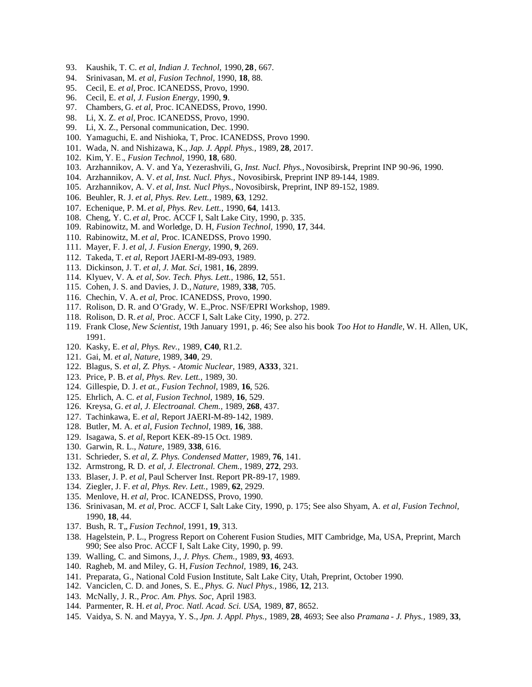- 93. Kaushik, T. C. *et al, Indian J. Technol,* 1990, **28**, 667.
- 94. Srinivasan, M. *et al, Fusion Technol,* 1990, **18**, 88.
- 95. Cecil, E. *et al,* Proc. ICANEDSS, Provo, 1990.
- 96. Cecil, E. *et al, J. Fusion Energy,* 1990, **9**.
- 97. Chambers, G. *et al,* Proc. ICANEDSS, Provo, 1990.
- 98. Li, X. Z. *et al,* Proc. ICANEDSS, Provo, 1990.
- 99. Li, X. Z., Personal communication, Dec. 1990.
- 100. Yamaguchi, E. and Nishioka, T, Proc. ICANEDSS, Provo 1990.
- 101. Wada, N. and Nishizawa, K., *Jap. J. Appl. Phys.,* 1989, **28**, 2017.
- 102. Kim, Υ. Ε., *Fusion Technol,* 1990, **18**, 680.
- 103. Arzhannikov, A. V. and Ya, Yezerashvili, G, *Inst. Nucl. Phys.,* Novosibirsk, Preprint INP 90-96, 1990.
- 104. Arzhannikov, A. V. *et al, Inst. Nucl. Phys.,* Novosibirsk, Preprint INP 89-144, 1989.
- 105. Arzhannikov, A. V. *et al, Inst. Nucl Phys.,* Novosibirsk, Preprint, INP 89-152, 1989.
- 106. Beuhler, R. J. *et al, Phys. Rev. Lett.,* 1989, **63**, 1292.
- 107. Echenique, P. M. *et al, Phys. Rev. Lett.,* 1990, **64**, 1413.
- 108. Cheng, Y. C. *et al,* Proc. ACCF I, Salt Lake City, 1990, p. 335.
- 109. Rabinowitz, M. and Worledge, D. H, *Fusion Technol,* 1990, **17**, 344.
- 110. Rabinowitz, M. *et al,* Proc. ICANEDSS, Provo 1990.
- 111. Mayer, F. J. *et al, J. Fusion Energy,* 1990, **9**, 269.
- 112. Takeda, T. *et al,* Report JAERI-M-89-093, 1989.
- 113. Dickinson, J. T. *et al, J. Mat. Sci,* 1981, **16**, 2899.
- 114. Klyuev, V. A. *et al, Sov. Tech. Phys. Lett.,* 1986, **12**, 551.
- 115. Cohen, J. S. and Davies, J. D.,*Nature,* 1989, **338**, 705.
- 116. Chechin, V. A. *et al,* Proc. ICANEDSS, Provo, 1990.
- 117. Rolison, D. R. and O'Grady, W. E.,Proc. NSF/EPRI Workshop, 1989.
- 118. Rolison, D. R. *et al,* Proc. ACCF I, Salt Lake City, 1990, p. 272.
- 119. Frank Close, *New Scientist,* 19th January 1991, p. 46; See also his book *Too Hot to Handle,* W. H. Allen, UK, 1991.
- 120. Kasky, E. *et al, Phys. Rev.,* 1989, **C40**, R1.2.
- 121. Gai, M. *et al, Nature,* 1989, **340**, 29.
- 122. Blagus, S. *et al, Z. Phys. - Atomic Nuclear,* 1989, **A333**, 321.
- 123. Price, P. B. *et al, Phys. Rev. Lett.,* 1989, 30.
- 124. Gillespie, D. J. *et at., Fusion Technol,* 1989, **16**, 526.
- 125. Ehrlich, A. C. *et al, Fusion Technol,* 1989, **16**, 529.
- 126. Kreysa, G. *et al, J. Electroanal. Chem.,* 1989, **268**, 437.
- 127. Tachinkawa, E. *et al,* Report JAERI-M-89-142, 1989.
- 128. Butler, M. A. *et al, Fusion Technol,* 1989, **16**, 388.
- 129. Isagawa, S. *et al,* Report KEK-89-15 Oct. 1989.
- 130. Garwin, R. L., *Nature,* 1989, **338**, 616.
- 131. Schrieder, S. *et al, Z. Phys. Condensed Matter,* 1989, **76**, 141.
- 132. Armstrong, R. D. *et al, J. Electronal. Chem.,* 1989, **272**, 293.
- 133. Blaser, J. P. *et al,* Paul Scherver Inst. Report PR-89-17, 1989.
- 134. Ziegler, J. F. *et al, Phys. Rev. Lett.,* 1989, **62**, 2929.
- 135. Menlove, H. *et al,* Proc. ICANEDSS, Provo, 1990.
- 136. Srinivasan, M. *et al,* Proc. ACCF I, Salt Lake City, 1990, p. 175; See also Shyam, A. *et al, Fusion Technol,* 1990, **18**, 44.
- 137. Bush, R. T., *Fusion Technol*, 1991, 19, 313.
- 138. Hagelstein, P. L., Progress Report on Coherent Fusion Studies, MIT Cambridge, Ma, USA, Preprint, March 990; See also Proc. ACCF I, Salt Lake City, 1990, p. 99.
- 139. Walling, C. and Simons, J., *J. Phys. Chem.,* 1989, **93**, 4693.
- 140. Ragheb, M. and Miley, G. H, *Fusion Technol,* 1989, **16**, 243.
- 141. Preparata, G., National Cold Fusion Institute, Salt Lake City, Utah, Preprint, October 1990.
- 142. Vanciclen, C. D. and Jones, S. E., *Phys. G. Nucl Phys.,* 1986, **12**, 213.
- 143. McNally, J. R., *Proc. Am. Phys. Soc,* April 1983.
- 144. Parmenter, R. H. *et al, Proc. Natl. Acad. Sci. USA,* 1989, **87**, 8652.
- 145. Vaidya, S. N. and Mayya, Y. S., *Jpn. J. Appl. Phys.,* 1989, **28**, 4693; See also *Pramana - J. Phys.,* 1989, **33**,